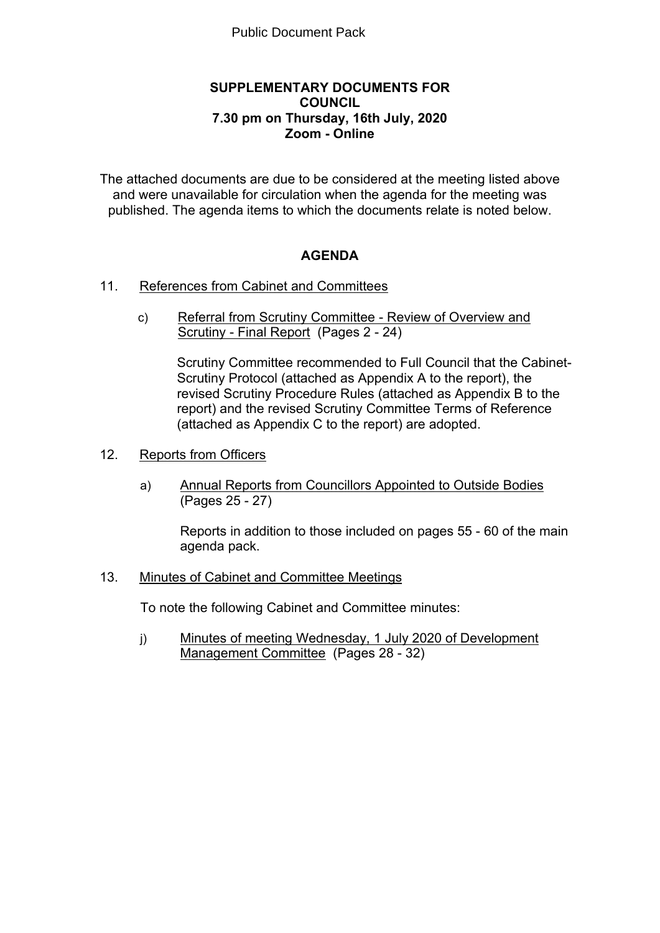## **SUPPLEMENTARY DOCUMENTS FOR COUNCIL 7.30 pm on Thursday, 16th July, 2020 Zoom - Online**

The attached documents are due to be considered at the meeting listed above and were unavailable for circulation when the agenda for the meeting was published. The agenda items to which the documents relate is noted below.

## **AGENDA**

- 11. References from Cabinet and Committees
	- c) Referral from Scrutiny Committee Review of Overview and Scrutiny - Final Report (Pages 2 - 24)

Scrutiny Committee recommended to Full Council that the Cabinet-Scrutiny Protocol (attached as Appendix A to the report), the revised Scrutiny Procedure Rules (attached as Appendix B to the report) and the revised Scrutiny Committee Terms of Reference (attached as Appendix C to the report) are adopted.

- 12. Reports from Officers
	- a) Annual Reports from Councillors Appointed to Outside Bodies (Pages 25 - 27)

Reports in addition to those included on pages 55 - 60 of the main agenda pack.

13. Minutes of Cabinet and Committee Meetings

To note the following Cabinet and Committee minutes:

j) Minutes of meeting Wednesday, 1 July 2020 of Development Management Committee (Pages 28 - 32)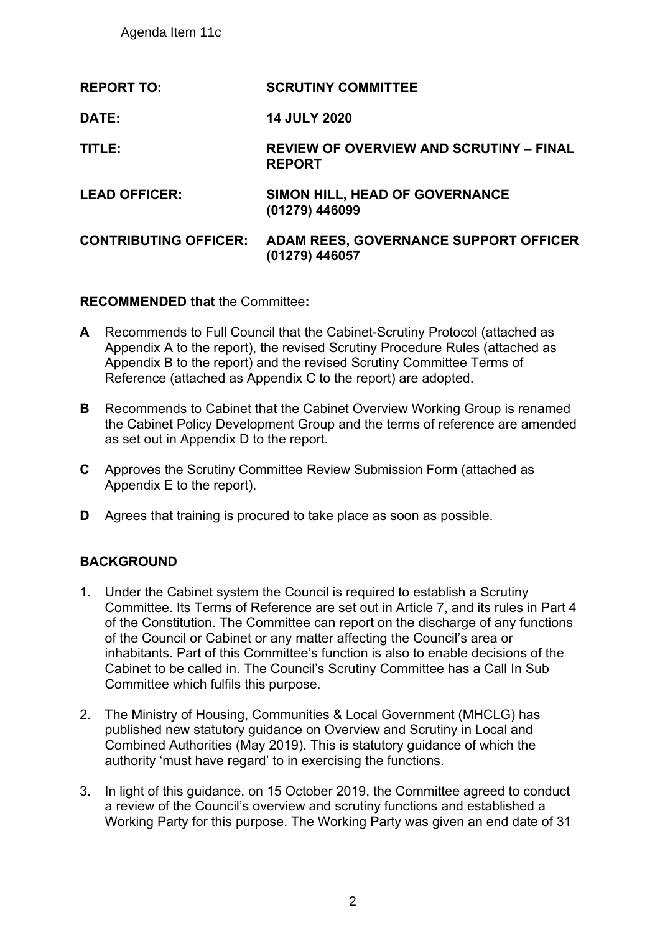Agenda Item 11c

| <b>REPORT TO:</b>            | <b>SCRUTINY COMMITTEE</b>                                       |
|------------------------------|-----------------------------------------------------------------|
| DATE:                        | <b>14 JULY 2020</b>                                             |
| TITLE:                       | <b>REVIEW OF OVERVIEW AND SCRUTINY - FINAL</b><br><b>REPORT</b> |
| <b>LEAD OFFICER:</b>         | SIMON HILL, HEAD OF GOVERNANCE<br>(01279) 446099                |
| <b>CONTRIBUTING OFFICER:</b> | ADAM REES, GOVERNANCE SUPPORT OFFICER<br>(01279) 446057         |

**RECOMMENDED that** the Committee**:**

- **A** Recommends to Full Council that the Cabinet-Scrutiny Protocol (attached as Appendix A to the report), the revised Scrutiny Procedure Rules (attached as Appendix B to the report) and the revised Scrutiny Committee Terms of Reference (attached as Appendix C to the report) are adopted.
- **B** Recommends to Cabinet that the Cabinet Overview Working Group is renamed the Cabinet Policy Development Group and the terms of reference are amended as set out in Appendix D to the report.
- **C** Approves the Scrutiny Committee Review Submission Form (attached as Appendix E to the report).
- **D** Agrees that training is procured to take place as soon as possible.

## **BACKGROUND**

- 1. Under the Cabinet system the Council is required to establish a Scrutiny Committee. Its Terms of Reference are set out in Article 7, and its rules in Part 4 of the Constitution. The Committee can report on the discharge of any functions of the Council or Cabinet or any matter affecting the Council's area or inhabitants. Part of this Committee's function is also to enable decisions of the Cabinet to be called in. The Council's Scrutiny Committee has a Call In Sub Committee which fulfils this purpose.
- 2. The Ministry of Housing, Communities & Local Government (MHCLG) has published new statutory guidance on Overview and Scrutiny in Local and Combined Authorities (May 2019). This is statutory guidance of which the authority 'must have regard' to in exercising the functions.
- 3. In light of this guidance, on 15 October 2019, the Committee agreed to conduct a review of the Council's overview and scrutiny functions and established a Working Party for this purpose. The Working Party was given an end date of 31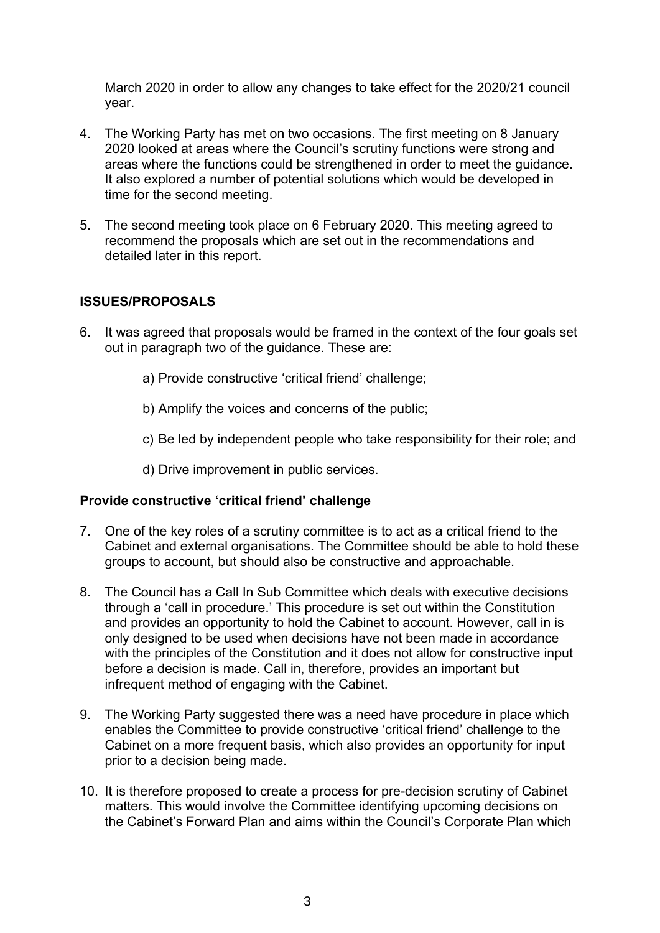March 2020 in order to allow any changes to take effect for the 2020/21 council year.

- 4. The Working Party has met on two occasions. The first meeting on 8 January 2020 looked at areas where the Council's scrutiny functions were strong and areas where the functions could be strengthened in order to meet the guidance. It also explored a number of potential solutions which would be developed in time for the second meeting.
- 5. The second meeting took place on 6 February 2020. This meeting agreed to recommend the proposals which are set out in the recommendations and detailed later in this report.

## **ISSUES/PROPOSALS**

- 6. It was agreed that proposals would be framed in the context of the four goals set out in paragraph two of the guidance. These are:
	- a) Provide constructive 'critical friend' challenge;
	- b) Amplify the voices and concerns of the public;
	- c) Be led by independent people who take responsibility for their role; and
	- d) Drive improvement in public services.

## **Provide constructive 'critical friend' challenge**

- 7. One of the key roles of a scrutiny committee is to act as a critical friend to the Cabinet and external organisations. The Committee should be able to hold these groups to account, but should also be constructive and approachable.
- 8. The Council has a Call In Sub Committee which deals with executive decisions through a 'call in procedure.' This procedure is set out within the Constitution and provides an opportunity to hold the Cabinet to account. However, call in is only designed to be used when decisions have not been made in accordance with the principles of the Constitution and it does not allow for constructive input before a decision is made. Call in, therefore, provides an important but infrequent method of engaging with the Cabinet.
- 9. The Working Party suggested there was a need have procedure in place which enables the Committee to provide constructive 'critical friend' challenge to the Cabinet on a more frequent basis, which also provides an opportunity for input prior to a decision being made.
- 10. It is therefore proposed to create a process for pre-decision scrutiny of Cabinet matters. This would involve the Committee identifying upcoming decisions on the Cabinet's Forward Plan and aims within the Council's Corporate Plan which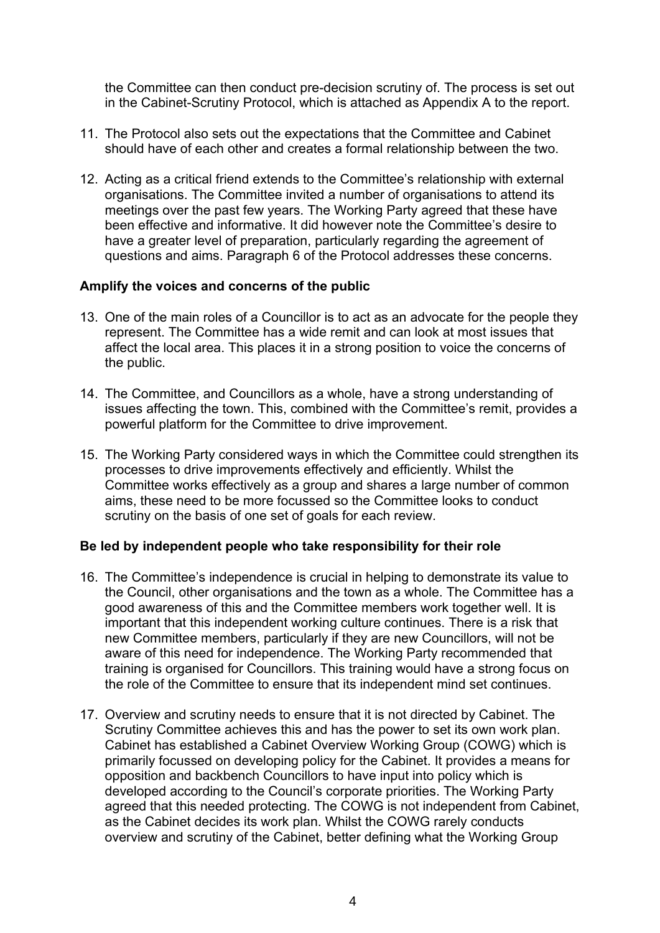the Committee can then conduct pre-decision scrutiny of. The process is set out in the Cabinet-Scrutiny Protocol, which is attached as Appendix A to the report.

- 11. The Protocol also sets out the expectations that the Committee and Cabinet should have of each other and creates a formal relationship between the two.
- 12. Acting as a critical friend extends to the Committee's relationship with external organisations. The Committee invited a number of organisations to attend its meetings over the past few years. The Working Party agreed that these have been effective and informative. It did however note the Committee's desire to have a greater level of preparation, particularly regarding the agreement of questions and aims. Paragraph 6 of the Protocol addresses these concerns.

## **Amplify the voices and concerns of the public**

- 13. One of the main roles of a Councillor is to act as an advocate for the people they represent. The Committee has a wide remit and can look at most issues that affect the local area. This places it in a strong position to voice the concerns of the public.
- 14. The Committee, and Councillors as a whole, have a strong understanding of issues affecting the town. This, combined with the Committee's remit, provides a powerful platform for the Committee to drive improvement.
- 15. The Working Party considered ways in which the Committee could strengthen its processes to drive improvements effectively and efficiently. Whilst the Committee works effectively as a group and shares a large number of common aims, these need to be more focussed so the Committee looks to conduct scrutiny on the basis of one set of goals for each review.

## **Be led by independent people who take responsibility for their role**

- 16. The Committee's independence is crucial in helping to demonstrate its value to the Council, other organisations and the town as a whole. The Committee has a good awareness of this and the Committee members work together well. It is important that this independent working culture continues. There is a risk that new Committee members, particularly if they are new Councillors, will not be aware of this need for independence. The Working Party recommended that training is organised for Councillors. This training would have a strong focus on the role of the Committee to ensure that its independent mind set continues.
- 17. Overview and scrutiny needs to ensure that it is not directed by Cabinet. The Scrutiny Committee achieves this and has the power to set its own work plan. Cabinet has established a Cabinet Overview Working Group (COWG) which is primarily focussed on developing policy for the Cabinet. It provides a means for opposition and backbench Councillors to have input into policy which is developed according to the Council's corporate priorities. The Working Party agreed that this needed protecting. The COWG is not independent from Cabinet, as the Cabinet decides its work plan. Whilst the COWG rarely conducts overview and scrutiny of the Cabinet, better defining what the Working Group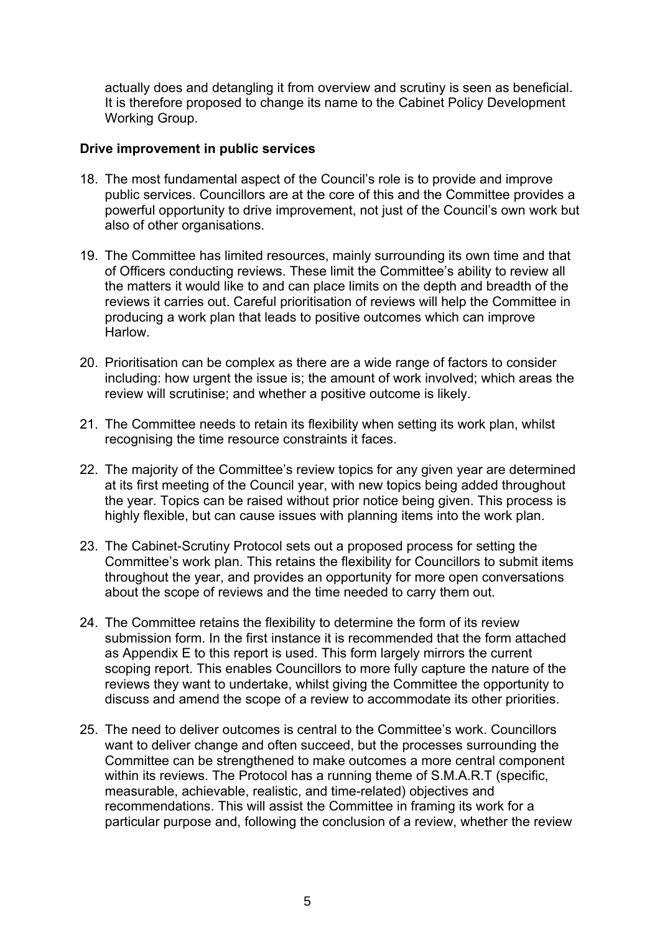actually does and detangling it from overview and scrutiny is seen as beneficial. It is therefore proposed to change its name to the Cabinet Policy Development Working Group.

#### **Drive improvement in public services**

- 18. The most fundamental aspect of the Council's role is to provide and improve public services. Councillors are at the core of this and the Committee provides a powerful opportunity to drive improvement, not just of the Council's own work but also of other organisations.
- 19. The Committee has limited resources, mainly surrounding its own time and that of Officers conducting reviews. These limit the Committee's ability to review all the matters it would like to and can place limits on the depth and breadth of the reviews it carries out. Careful prioritisation of reviews will help the Committee in producing a work plan that leads to positive outcomes which can improve Harlow.
- 20. Prioritisation can be complex as there are a wide range of factors to consider including: how urgent the issue is; the amount of work involved; which areas the review will scrutinise; and whether a positive outcome is likely.
- 21. The Committee needs to retain its flexibility when setting its work plan, whilst recognising the time resource constraints it faces.
- 22. The majority of the Committee's review topics for any given year are determined at its first meeting of the Council year, with new topics being added throughout the year. Topics can be raised without prior notice being given. This process is highly flexible, but can cause issues with planning items into the work plan.
- 23. The Cabinet-Scrutiny Protocol sets out a proposed process for setting the Committee's work plan. This retains the flexibility for Councillors to submit items throughout the year, and provides an opportunity for more open conversations about the scope of reviews and the time needed to carry them out.
- 24. The Committee retains the flexibility to determine the form of its review submission form. In the first instance it is recommended that the form attached as Appendix E to this report is used. This form largely mirrors the current scoping report. This enables Councillors to more fully capture the nature of the reviews they want to undertake, whilst giving the Committee the opportunity to discuss and amend the scope of a review to accommodate its other priorities.
- 25. The need to deliver outcomes is central to the Committee's work. Councillors want to deliver change and often succeed, but the processes surrounding the Committee can be strengthened to make outcomes a more central component within its reviews. The Protocol has a running theme of S.M.A.R.T (specific, measurable, achievable, realistic, and time-related) objectives and recommendations. This will assist the Committee in framing its work for a particular purpose and, following the conclusion of a review, whether the review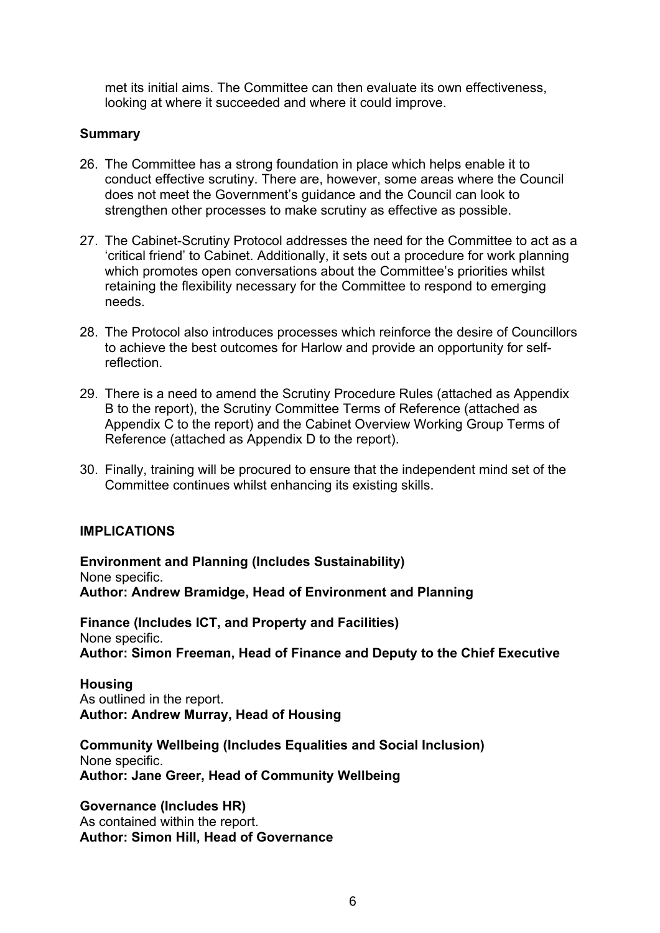met its initial aims. The Committee can then evaluate its own effectiveness, looking at where it succeeded and where it could improve.

## **Summary**

- 26. The Committee has a strong foundation in place which helps enable it to conduct effective scrutiny. There are, however, some areas where the Council does not meet the Government's guidance and the Council can look to strengthen other processes to make scrutiny as effective as possible.
- 27. The Cabinet-Scrutiny Protocol addresses the need for the Committee to act as a 'critical friend' to Cabinet. Additionally, it sets out a procedure for work planning which promotes open conversations about the Committee's priorities whilst retaining the flexibility necessary for the Committee to respond to emerging needs.
- 28. The Protocol also introduces processes which reinforce the desire of Councillors to achieve the best outcomes for Harlow and provide an opportunity for selfreflection.
- 29. There is a need to amend the Scrutiny Procedure Rules (attached as Appendix B to the report), the Scrutiny Committee Terms of Reference (attached as Appendix C to the report) and the Cabinet Overview Working Group Terms of Reference (attached as Appendix D to the report).
- 30. Finally, training will be procured to ensure that the independent mind set of the Committee continues whilst enhancing its existing skills.

## **IMPLICATIONS**

**Environment and Planning (Includes Sustainability)** None specific. **Author: Andrew Bramidge, Head of Environment and Planning**

**Finance (Includes ICT, and Property and Facilities)** None specific. **Author: Simon Freeman, Head of Finance and Deputy to the Chief Executive**

**Housing** As outlined in the report. **Author: Andrew Murray, Head of Housing**

**Community Wellbeing (Includes Equalities and Social Inclusion)** None specific. **Author: Jane Greer, Head of Community Wellbeing**

**Governance (Includes HR)** As contained within the report. **Author: Simon Hill, Head of Governance**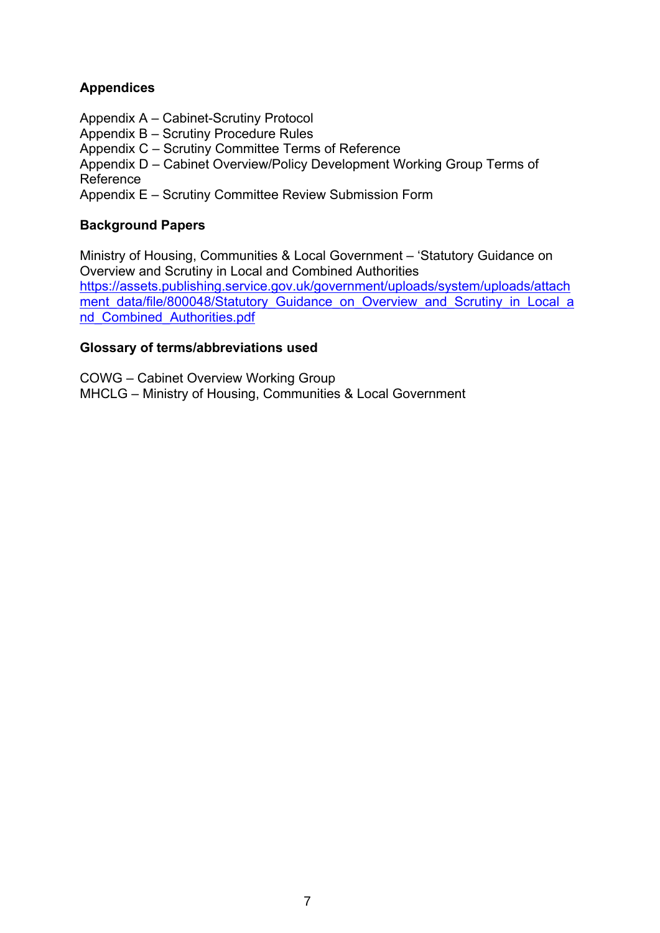## **Appendices**

- Appendix A Cabinet-Scrutiny Protocol
- Appendix B Scrutiny Procedure Rules

Appendix C – Scrutiny Committee Terms of Reference

Appendix D – Cabinet Overview/Policy Development Working Group Terms of Reference

Appendix E – Scrutiny Committee Review Submission Form

## **Background Papers**

Ministry of Housing, Communities & Local Government – 'Statutory Guidance on Overview and Scrutiny in Local and Combined Authorities [https://assets.publishing.service.gov.uk/government/uploads/system/uploads/attach](https://assets.publishing.service.gov.uk/government/uploads/system/uploads/attachment_data/file/800048/Statutory_Guidance_on_Overview_and_Scrutiny_in_Local_and_Combined_Authorities.pdf) [ment\\_data/file/800048/Statutory\\_Guidance\\_on\\_Overview\\_and\\_Scrutiny\\_in\\_Local\\_a](https://assets.publishing.service.gov.uk/government/uploads/system/uploads/attachment_data/file/800048/Statutory_Guidance_on_Overview_and_Scrutiny_in_Local_and_Combined_Authorities.pdf) [nd\\_Combined\\_Authorities.pdf](https://assets.publishing.service.gov.uk/government/uploads/system/uploads/attachment_data/file/800048/Statutory_Guidance_on_Overview_and_Scrutiny_in_Local_and_Combined_Authorities.pdf)

## **Glossary of terms/abbreviations used**

COWG – Cabinet Overview Working Group MHCLG – Ministry of Housing, Communities & Local Government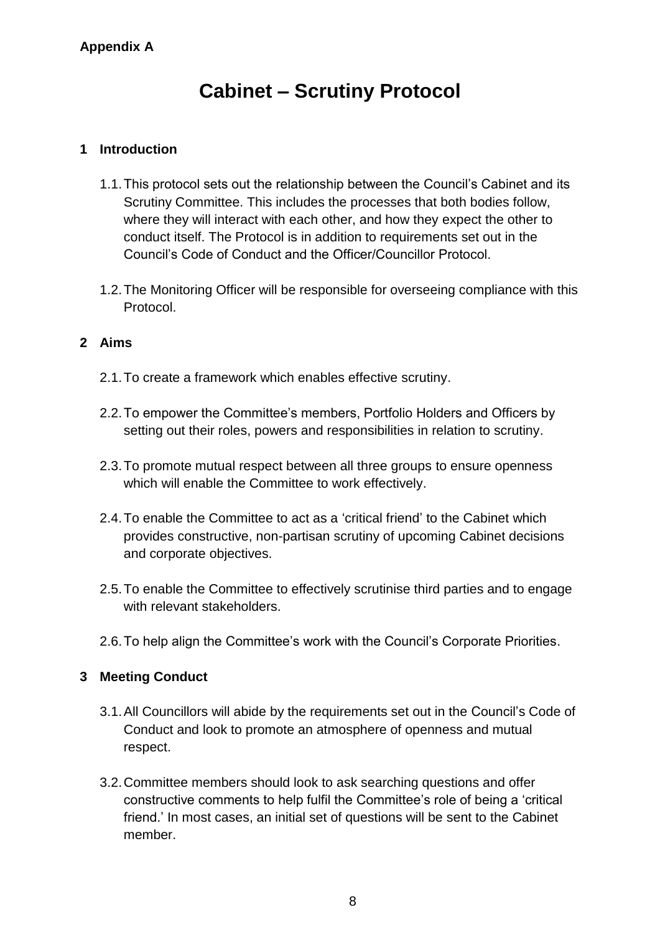# **Cabinet – Scrutiny Protocol**

## **1 Introduction**

- 1.1.This protocol sets out the relationship between the Council's Cabinet and its Scrutiny Committee. This includes the processes that both bodies follow, where they will interact with each other, and how they expect the other to conduct itself. The Protocol is in addition to requirements set out in the Council's Code of Conduct and the Officer/Councillor Protocol.
- 1.2.The Monitoring Officer will be responsible for overseeing compliance with this Protocol.

## **2 Aims**

- 2.1.To create a framework which enables effective scrutiny.
- 2.2.To empower the Committee's members, Portfolio Holders and Officers by setting out their roles, powers and responsibilities in relation to scrutiny.
- 2.3.To promote mutual respect between all three groups to ensure openness which will enable the Committee to work effectively.
- 2.4.To enable the Committee to act as a 'critical friend' to the Cabinet which provides constructive, non-partisan scrutiny of upcoming Cabinet decisions and corporate objectives.
- 2.5.To enable the Committee to effectively scrutinise third parties and to engage with relevant stakeholders.
- 2.6.To help align the Committee's work with the Council's Corporate Priorities.

## **3 Meeting Conduct**

- 3.1.All Councillors will abide by the requirements set out in the Council's Code of Conduct and look to promote an atmosphere of openness and mutual respect.
- 3.2.Committee members should look to ask searching questions and offer constructive comments to help fulfil the Committee's role of being a 'critical friend.' In most cases, an initial set of questions will be sent to the Cabinet member.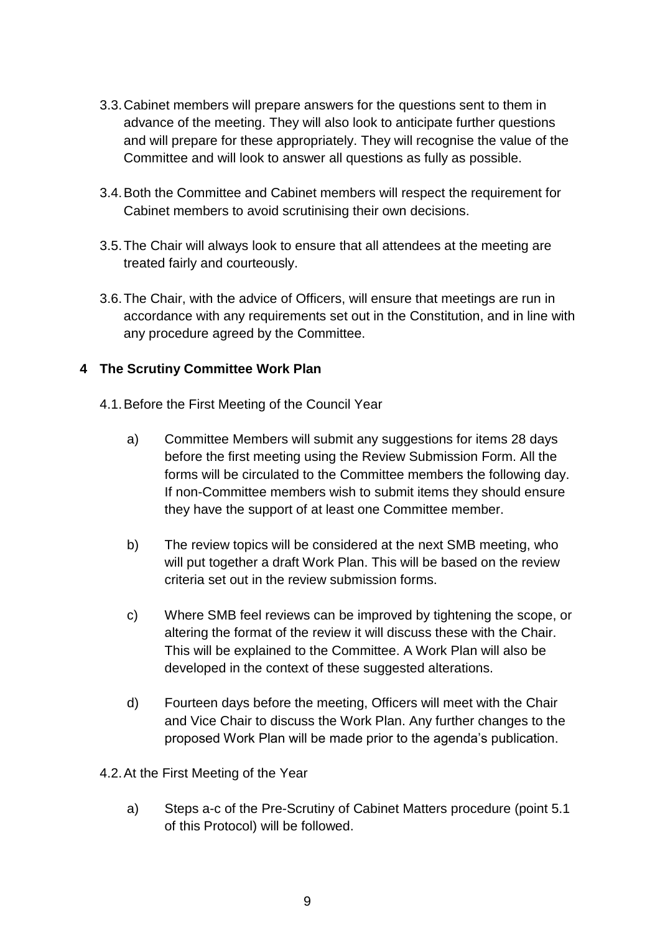- 3.3.Cabinet members will prepare answers for the questions sent to them in advance of the meeting. They will also look to anticipate further questions and will prepare for these appropriately. They will recognise the value of the Committee and will look to answer all questions as fully as possible.
- 3.4.Both the Committee and Cabinet members will respect the requirement for Cabinet members to avoid scrutinising their own decisions.
- 3.5.The Chair will always look to ensure that all attendees at the meeting are treated fairly and courteously.
- 3.6.The Chair, with the advice of Officers, will ensure that meetings are run in accordance with any requirements set out in the Constitution, and in line with any procedure agreed by the Committee.

## **4 The Scrutiny Committee Work Plan**

- 4.1.Before the First Meeting of the Council Year
	- a) Committee Members will submit any suggestions for items 28 days before the first meeting using the Review Submission Form. All the forms will be circulated to the Committee members the following day. If non-Committee members wish to submit items they should ensure they have the support of at least one Committee member.
	- b) The review topics will be considered at the next SMB meeting, who will put together a draft Work Plan. This will be based on the review criteria set out in the review submission forms.
	- c) Where SMB feel reviews can be improved by tightening the scope, or altering the format of the review it will discuss these with the Chair. This will be explained to the Committee. A Work Plan will also be developed in the context of these suggested alterations.
	- d) Fourteen days before the meeting, Officers will meet with the Chair and Vice Chair to discuss the Work Plan. Any further changes to the proposed Work Plan will be made prior to the agenda's publication.
- 4.2.At the First Meeting of the Year
	- a) Steps a-c of the Pre-Scrutiny of Cabinet Matters procedure (point 5.1 of this Protocol) will be followed.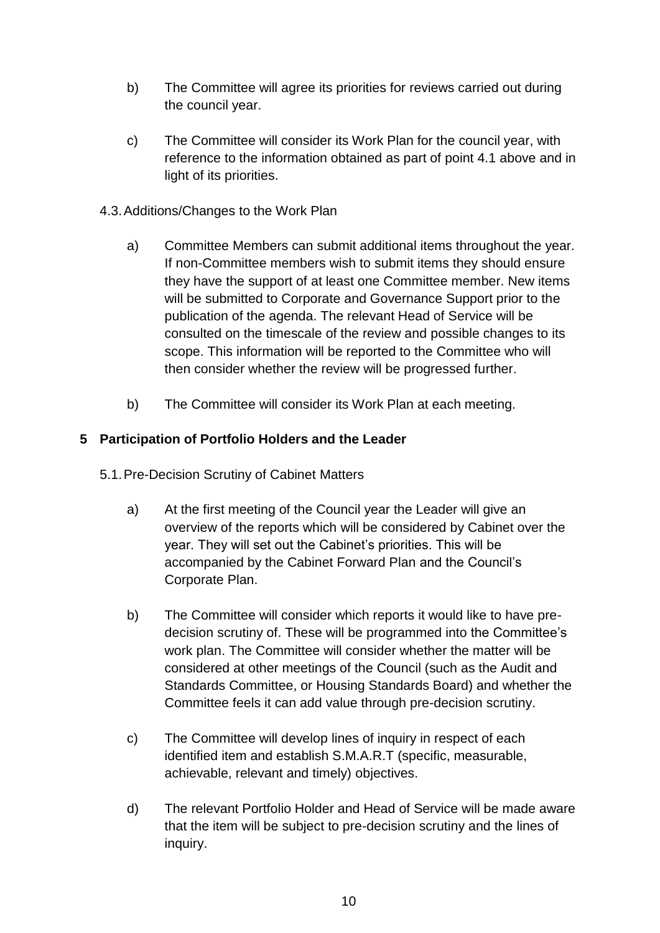- b) The Committee will agree its priorities for reviews carried out during the council year.
- c) The Committee will consider its Work Plan for the council year, with reference to the information obtained as part of point 4.1 above and in light of its priorities.
- 4.3.Additions/Changes to the Work Plan
	- a) Committee Members can submit additional items throughout the year. If non-Committee members wish to submit items they should ensure they have the support of at least one Committee member. New items will be submitted to Corporate and Governance Support prior to the publication of the agenda. The relevant Head of Service will be consulted on the timescale of the review and possible changes to its scope. This information will be reported to the Committee who will then consider whether the review will be progressed further.
	- b) The Committee will consider its Work Plan at each meeting.

## **5 Participation of Portfolio Holders and the Leader**

- 5.1.Pre-Decision Scrutiny of Cabinet Matters
	- a) At the first meeting of the Council year the Leader will give an overview of the reports which will be considered by Cabinet over the year. They will set out the Cabinet's priorities. This will be accompanied by the Cabinet Forward Plan and the Council's Corporate Plan.
	- b) The Committee will consider which reports it would like to have predecision scrutiny of. These will be programmed into the Committee's work plan. The Committee will consider whether the matter will be considered at other meetings of the Council (such as the Audit and Standards Committee, or Housing Standards Board) and whether the Committee feels it can add value through pre-decision scrutiny.
	- c) The Committee will develop lines of inquiry in respect of each identified item and establish S.M.A.R.T (specific, measurable, achievable, relevant and timely) objectives.
	- d) The relevant Portfolio Holder and Head of Service will be made aware that the item will be subject to pre-decision scrutiny and the lines of inquiry.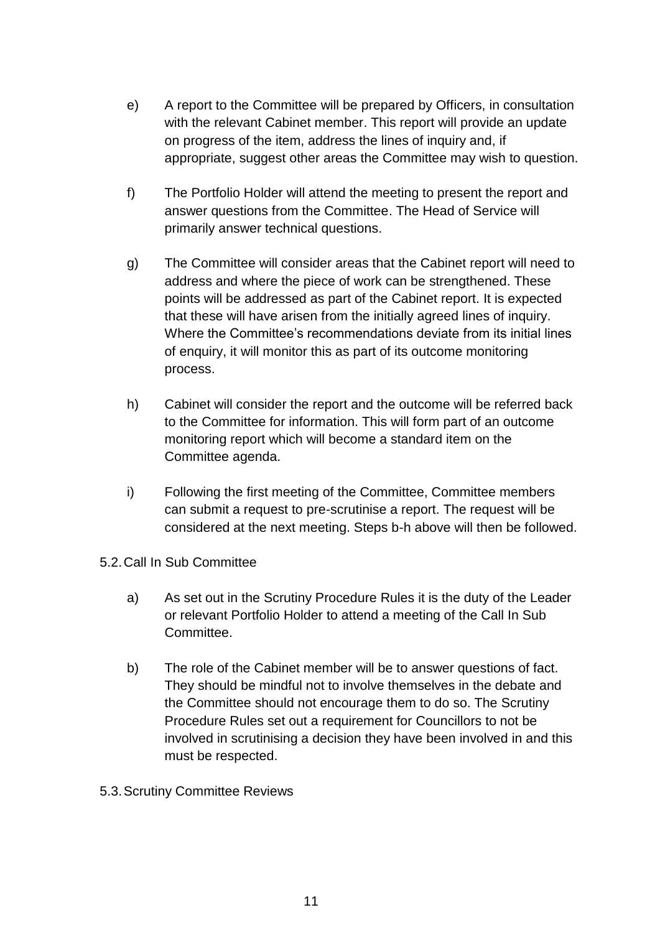- e) A report to the Committee will be prepared by Officers, in consultation with the relevant Cabinet member. This report will provide an update on progress of the item, address the lines of inquiry and, if appropriate, suggest other areas the Committee may wish to question.
- f) The Portfolio Holder will attend the meeting to present the report and answer questions from the Committee. The Head of Service will primarily answer technical questions.
- g) The Committee will consider areas that the Cabinet report will need to address and where the piece of work can be strengthened. These points will be addressed as part of the Cabinet report. It is expected that these will have arisen from the initially agreed lines of inquiry. Where the Committee's recommendations deviate from its initial lines of enquiry, it will monitor this as part of its outcome monitoring process.
- h) Cabinet will consider the report and the outcome will be referred back to the Committee for information. This will form part of an outcome monitoring report which will become a standard item on the Committee agenda.
- i) Following the first meeting of the Committee, Committee members can submit a request to pre-scrutinise a report. The request will be considered at the next meeting. Steps b-h above will then be followed.
- 5.2.Call In Sub Committee
	- a) As set out in the Scrutiny Procedure Rules it is the duty of the Leader or relevant Portfolio Holder to attend a meeting of the Call In Sub Committee.
	- b) The role of the Cabinet member will be to answer questions of fact. They should be mindful not to involve themselves in the debate and the Committee should not encourage them to do so. The Scrutiny Procedure Rules set out a requirement for Councillors to not be involved in scrutinising a decision they have been involved in and this must be respected.
- 5.3.Scrutiny Committee Reviews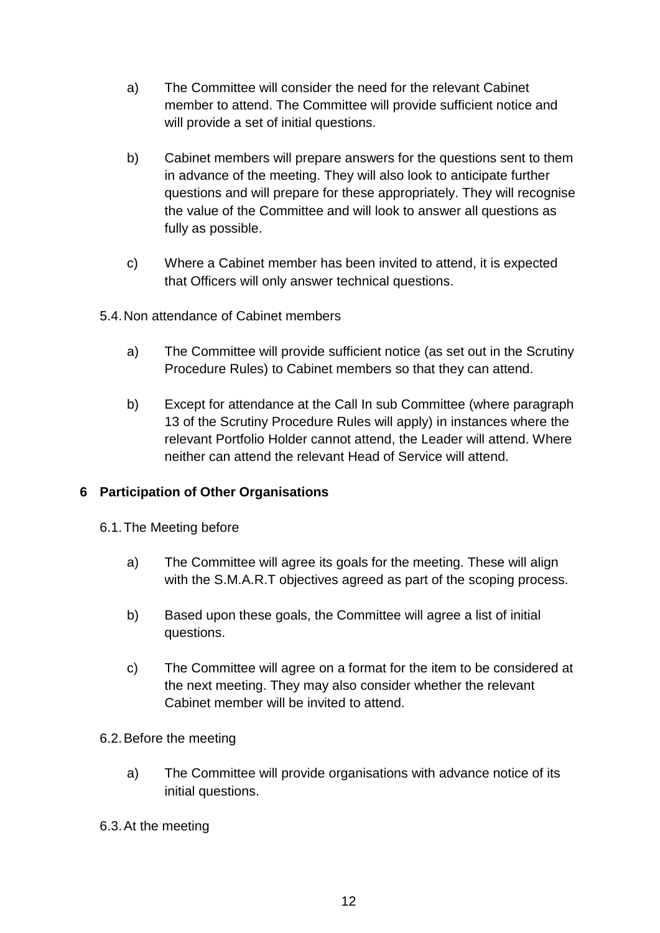- a) The Committee will consider the need for the relevant Cabinet member to attend. The Committee will provide sufficient notice and will provide a set of initial questions.
- b) Cabinet members will prepare answers for the questions sent to them in advance of the meeting. They will also look to anticipate further questions and will prepare for these appropriately. They will recognise the value of the Committee and will look to answer all questions as fully as possible.
- c) Where a Cabinet member has been invited to attend, it is expected that Officers will only answer technical questions.
- 5.4.Non attendance of Cabinet members
	- a) The Committee will provide sufficient notice (as set out in the Scrutiny Procedure Rules) to Cabinet members so that they can attend.
	- b) Except for attendance at the Call In sub Committee (where paragraph 13 of the Scrutiny Procedure Rules will apply) in instances where the relevant Portfolio Holder cannot attend, the Leader will attend. Where neither can attend the relevant Head of Service will attend.

## **6 Participation of Other Organisations**

- 6.1.The Meeting before
	- a) The Committee will agree its goals for the meeting. These will align with the S.M.A.R.T objectives agreed as part of the scoping process.
	- b) Based upon these goals, the Committee will agree a list of initial questions.
	- c) The Committee will agree on a format for the item to be considered at the next meeting. They may also consider whether the relevant Cabinet member will be invited to attend.
- 6.2.Before the meeting
	- a) The Committee will provide organisations with advance notice of its initial questions.
- 6.3.At the meeting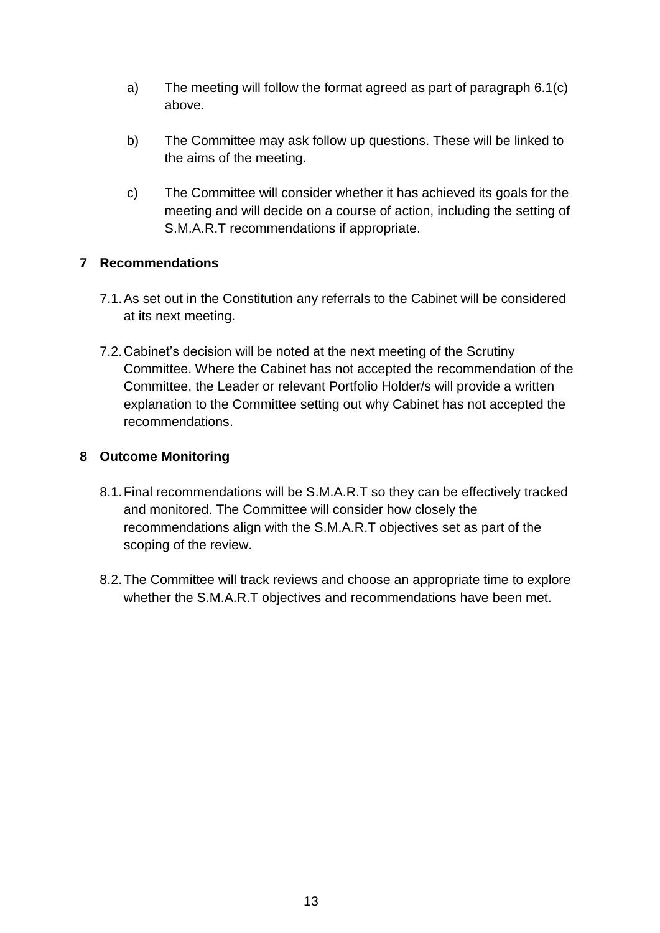- a) The meeting will follow the format agreed as part of paragraph 6.1(c) above.
- b) The Committee may ask follow up questions. These will be linked to the aims of the meeting.
- c) The Committee will consider whether it has achieved its goals for the meeting and will decide on a course of action, including the setting of S.M.A.R.T recommendations if appropriate.

## **7 Recommendations**

- 7.1.As set out in the Constitution any referrals to the Cabinet will be considered at its next meeting.
- 7.2.Cabinet's decision will be noted at the next meeting of the Scrutiny Committee. Where the Cabinet has not accepted the recommendation of the Committee, the Leader or relevant Portfolio Holder/s will provide a written explanation to the Committee setting out why Cabinet has not accepted the recommendations.

## **8 Outcome Monitoring**

- 8.1.Final recommendations will be S.M.A.R.T so they can be effectively tracked and monitored. The Committee will consider how closely the recommendations align with the S.M.A.R.T objectives set as part of the scoping of the review.
- 8.2.The Committee will track reviews and choose an appropriate time to explore whether the S.M.A.R.T objectives and recommendations have been met.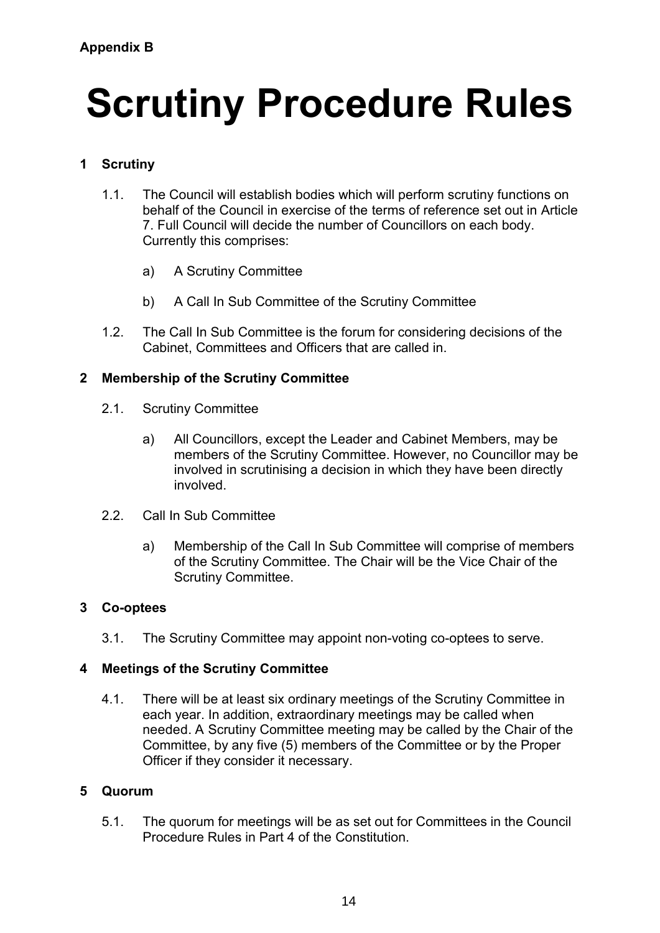# **Scrutiny Procedure Rules**

## **1 Scrutiny**

- 1.1. The Council will establish bodies which will perform scrutiny functions on behalf of the Council in exercise of the terms of reference set out in Article 7. Full Council will decide the number of Councillors on each body. Currently this comprises:
	- a) A Scrutiny Committee
	- b) A Call In Sub Committee of the Scrutiny Committee
- 1.2. The Call In Sub Committee is the forum for considering decisions of the Cabinet, Committees and Officers that are called in.

## **2 Membership of the Scrutiny Committee**

- 2.1. Scrutiny Committee
	- a) All Councillors, except the Leader and Cabinet Members, may be members of the Scrutiny Committee. However, no Councillor may be involved in scrutinising a decision in which they have been directly involved.
- 2.2. Call In Sub Committee
	- a) Membership of the Call In Sub Committee will comprise of members of the Scrutiny Committee. The Chair will be the Vice Chair of the Scrutiny Committee.

## **3 Co-optees**

3.1. The Scrutiny Committee may appoint non-voting co-optees to serve.

## **4 Meetings of the Scrutiny Committee**

4.1. There will be at least six ordinary meetings of the Scrutiny Committee in each year. In addition, extraordinary meetings may be called when needed. A Scrutiny Committee meeting may be called by the Chair of the Committee, by any five (5) members of the Committee or by the Proper Officer if they consider it necessary.

## **5 Quorum**

5.1. The quorum for meetings will be as set out for Committees in the Council Procedure Rules in Part 4 of the Constitution.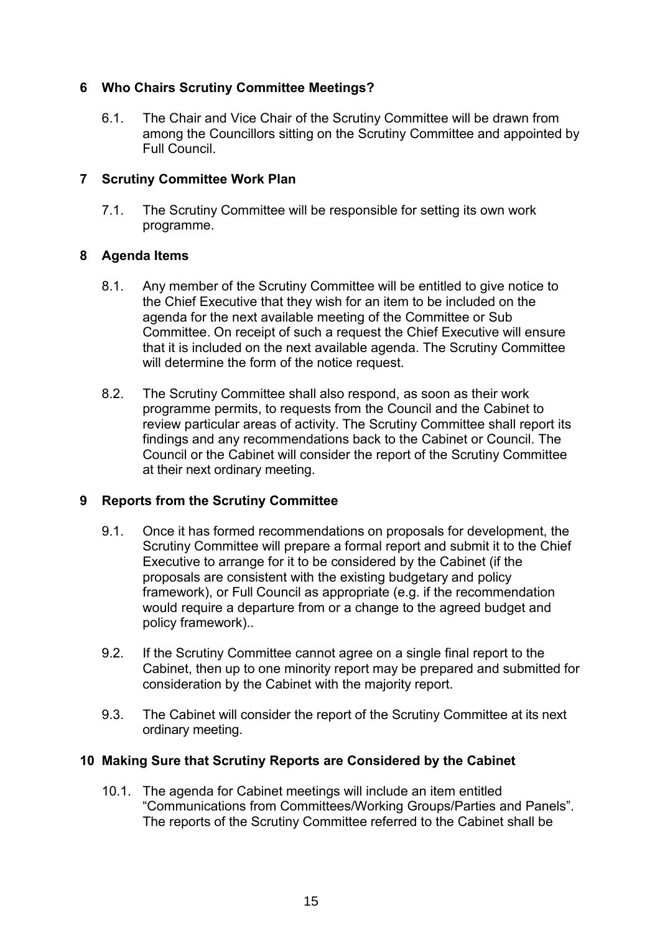## **6 Who Chairs Scrutiny Committee Meetings?**

6.1. The Chair and Vice Chair of the Scrutiny Committee will be drawn from among the Councillors sitting on the Scrutiny Committee and appointed by Full Council.

## **7 Scrutiny Committee Work Plan**

7.1. The Scrutiny Committee will be responsible for setting its own work programme.

## **8 Agenda Items**

- 8.1. Any member of the Scrutiny Committee will be entitled to give notice to the Chief Executive that they wish for an item to be included on the agenda for the next available meeting of the Committee or Sub Committee. On receipt of such a request the Chief Executive will ensure that it is included on the next available agenda. The Scrutiny Committee will determine the form of the notice request.
- 8.2. The Scrutiny Committee shall also respond, as soon as their work programme permits, to requests from the Council and the Cabinet to review particular areas of activity. The Scrutiny Committee shall report its findings and any recommendations back to the Cabinet or Council. The Council or the Cabinet will consider the report of the Scrutiny Committee at their next ordinary meeting.

## **9 Reports from the Scrutiny Committee**

- 9.1. Once it has formed recommendations on proposals for development, the Scrutiny Committee will prepare a formal report and submit it to the Chief Executive to arrange for it to be considered by the Cabinet (if the proposals are consistent with the existing budgetary and policy framework), or Full Council as appropriate (e.g. if the recommendation would require a departure from or a change to the agreed budget and policy framework)..
- 9.2. If the Scrutiny Committee cannot agree on a single final report to the Cabinet, then up to one minority report may be prepared and submitted for consideration by the Cabinet with the majority report.
- 9.3. The Cabinet will consider the report of the Scrutiny Committee at its next ordinary meeting.

## **10 Making Sure that Scrutiny Reports are Considered by the Cabinet**

10.1. The agenda for Cabinet meetings will include an item entitled "Communications from Committees/Working Groups/Parties and Panels". The reports of the Scrutiny Committee referred to the Cabinet shall be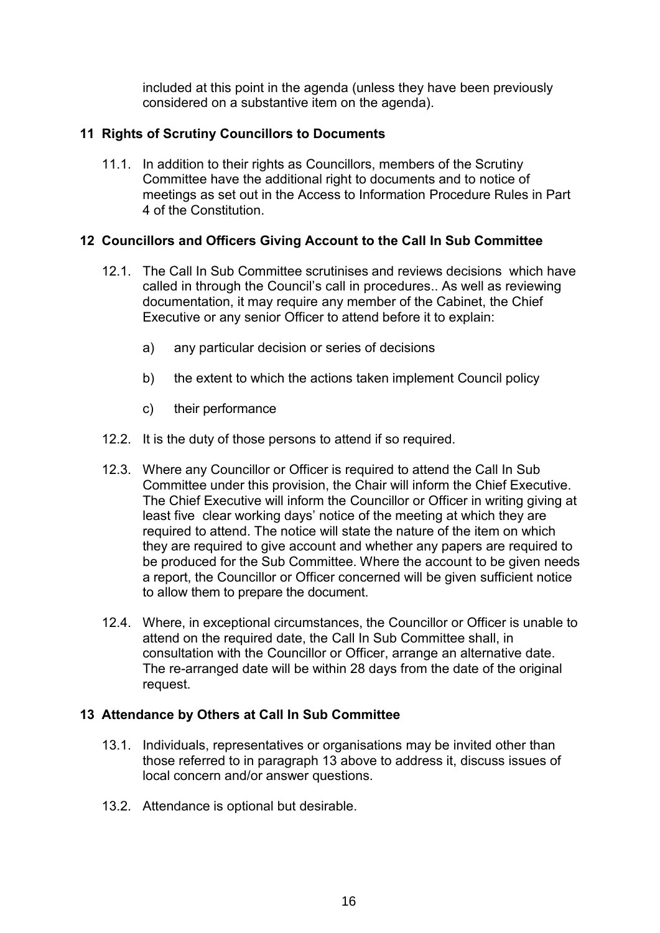included at this point in the agenda (unless they have been previously considered on a substantive item on the agenda).

## **11 Rights of Scrutiny Councillors to Documents**

11.1. In addition to their rights as Councillors, members of the Scrutiny Committee have the additional right to documents and to notice of meetings as set out in the Access to Information Procedure Rules in Part 4 of the Constitution.

## **12 Councillors and Officers Giving Account to the Call In Sub Committee**

- 12.1. The Call In Sub Committee scrutinises and reviews decisions which have called in through the Council's call in procedures.. As well as reviewing documentation, it may require any member of the Cabinet, the Chief Executive or any senior Officer to attend before it to explain:
	- a) any particular decision or series of decisions
	- b) the extent to which the actions taken implement Council policy
	- c) their performance
- 12.2. It is the duty of those persons to attend if so required.
- 12.3. Where any Councillor or Officer is required to attend the Call In Sub Committee under this provision, the Chair will inform the Chief Executive. The Chief Executive will inform the Councillor or Officer in writing giving at least five clear working days' notice of the meeting at which they are required to attend. The notice will state the nature of the item on which they are required to give account and whether any papers are required to be produced for the Sub Committee. Where the account to be given needs a report, the Councillor or Officer concerned will be given sufficient notice to allow them to prepare the document.
- 12.4. Where, in exceptional circumstances, the Councillor or Officer is unable to attend on the required date, the Call In Sub Committee shall, in consultation with the Councillor or Officer, arrange an alternative date. The re-arranged date will be within 28 days from the date of the original request.

## **13 Attendance by Others at Call In Sub Committee**

- 13.1. Individuals, representatives or organisations may be invited other than those referred to in paragraph 13 above to address it, discuss issues of local concern and/or answer questions.
- 13.2. Attendance is optional but desirable.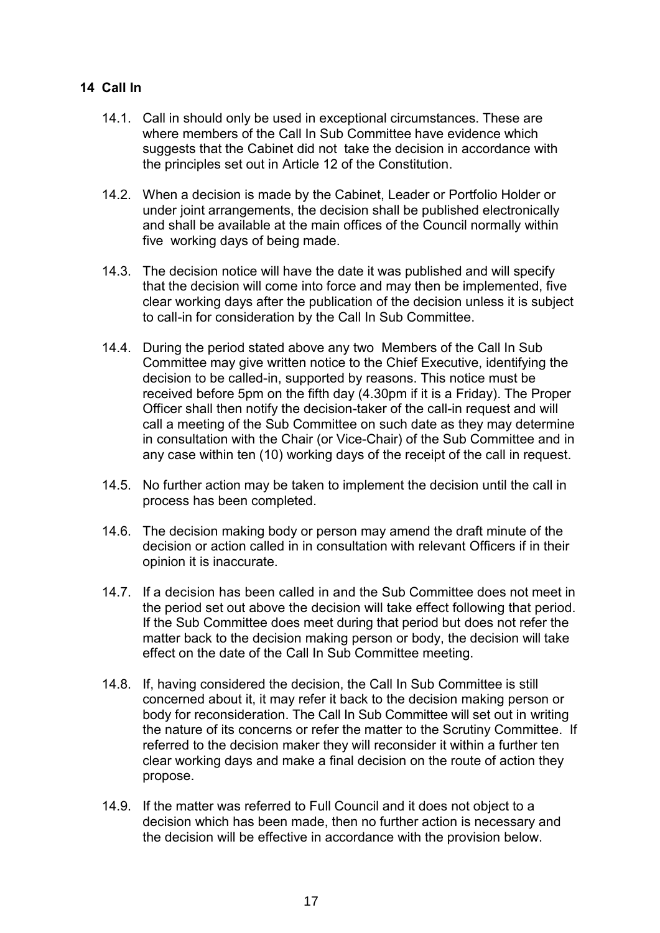## **14 Call In**

- 14.1. Call in should only be used in exceptional circumstances. These are where members of the Call In Sub Committee have evidence which suggests that the Cabinet did not take the decision in accordance with the principles set out in Article 12 of the Constitution.
- 14.2. When a decision is made by the Cabinet, Leader or Portfolio Holder or under joint arrangements, the decision shall be published electronically and shall be available at the main offices of the Council normally within five working days of being made.
- 14.3. The decision notice will have the date it was published and will specify that the decision will come into force and may then be implemented, five clear working days after the publication of the decision unless it is subject to call-in for consideration by the Call In Sub Committee.
- 14.4. During the period stated above any two Members of the Call In Sub Committee may give written notice to the Chief Executive, identifying the decision to be called-in, supported by reasons. This notice must be received before 5pm on the fifth day (4.30pm if it is a Friday). The Proper Officer shall then notify the decision-taker of the call-in request and will call a meeting of the Sub Committee on such date as they may determine in consultation with the Chair (or Vice-Chair) of the Sub Committee and in any case within ten (10) working days of the receipt of the call in request.
- 14.5. No further action may be taken to implement the decision until the call in process has been completed.
- 14.6. The decision making body or person may amend the draft minute of the decision or action called in in consultation with relevant Officers if in their opinion it is inaccurate.
- 14.7. If a decision has been called in and the Sub Committee does not meet in the period set out above the decision will take effect following that period. If the Sub Committee does meet during that period but does not refer the matter back to the decision making person or body, the decision will take effect on the date of the Call In Sub Committee meeting.
- 14.8. If, having considered the decision, the Call In Sub Committee is still concerned about it, it may refer it back to the decision making person or body for reconsideration. The Call In Sub Committee will set out in writing the nature of its concerns or refer the matter to the Scrutiny Committee. If referred to the decision maker they will reconsider it within a further ten clear working days and make a final decision on the route of action they propose.
- 14.9. If the matter was referred to Full Council and it does not object to a decision which has been made, then no further action is necessary and the decision will be effective in accordance with the provision below.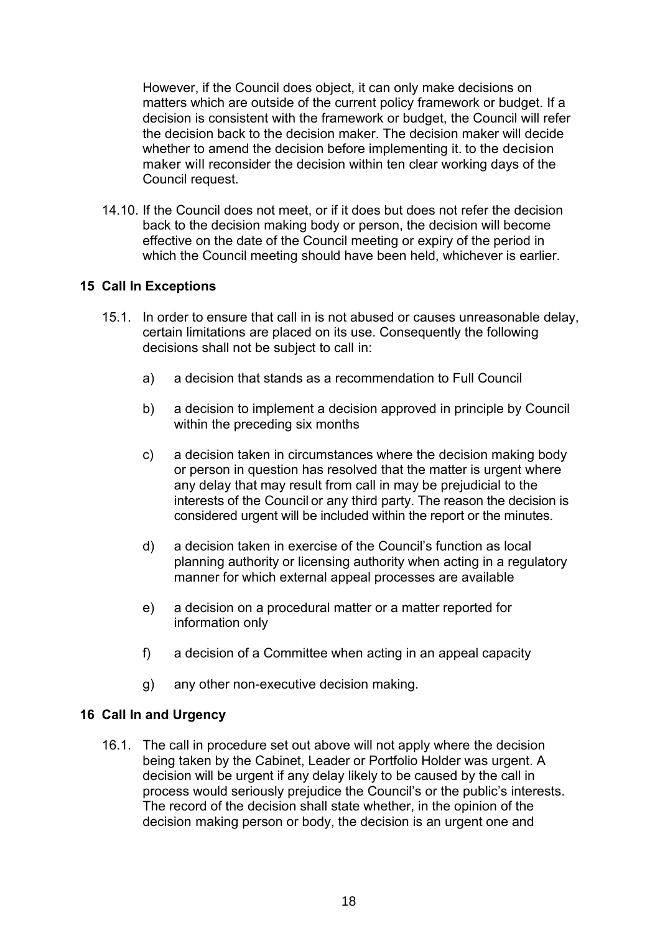However, if the Council does object, it can only make decisions on matters which are outside of the current policy framework or budget. If a decision is consistent with the framework or budget, the Council will refer the decision back to the decision maker. The decision maker will decide whether to amend the decision before implementing it. to the decision maker will reconsider the decision within ten clear working days of the Council request.

14.10. If the Council does not meet, or if it does but does not refer the decision back to the decision making body or person, the decision will become effective on the date of the Council meeting or expiry of the period in which the Council meeting should have been held, whichever is earlier.

## **15 Call In Exceptions**

- 15.1. In order to ensure that call in is not abused or causes unreasonable delay, certain limitations are placed on its use. Consequently the following decisions shall not be subject to call in:
	- a) a decision that stands as a recommendation to Full Council
	- b) a decision to implement a decision approved in principle by Council within the preceding six months
	- c) a decision taken in circumstances where the decision making body or person in question has resolved that the matter is urgent where any delay that may result from call in may be prejudicial to the interests of the Council or any third party. The reason the decision is considered urgent will be included within the report or the minutes.
	- d) a decision taken in exercise of the Council's function as local planning authority or licensing authority when acting in a regulatory manner for which external appeal processes are available
	- e) a decision on a procedural matter or a matter reported for information only
	- f) a decision of a Committee when acting in an appeal capacity
	- g) any other non-executive decision making.

## **16 Call In and Urgency**

16.1. The call in procedure set out above will not apply where the decision being taken by the Cabinet, Leader or Portfolio Holder was urgent. A decision will be urgent if any delay likely to be caused by the call in process would seriously prejudice the Council's or the public's interests. The record of the decision shall state whether, in the opinion of the decision making person or body, the decision is an urgent one and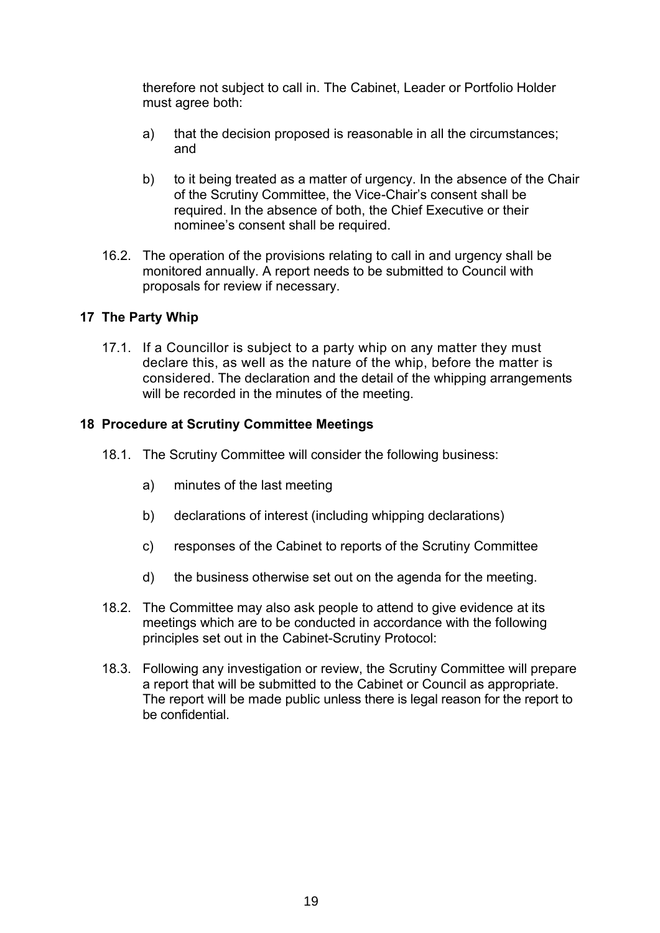therefore not subject to call in. The Cabinet, Leader or Portfolio Holder must agree both:

- a) that the decision proposed is reasonable in all the circumstances; and
- b) to it being treated as a matter of urgency. In the absence of the Chair of the Scrutiny Committee, the Vice-Chair's consent shall be required. In the absence of both, the Chief Executive or their nominee's consent shall be required.
- 16.2. The operation of the provisions relating to call in and urgency shall be monitored annually. A report needs to be submitted to Council with proposals for review if necessary.

## **17 The Party Whip**

17.1. If a Councillor is subject to a party whip on any matter they must declare this, as well as the nature of the whip, before the matter is considered. The declaration and the detail of the whipping arrangements will be recorded in the minutes of the meeting.

## **18 Procedure at Scrutiny Committee Meetings**

- 18.1. The Scrutiny Committee will consider the following business:
	- a) minutes of the last meeting
	- b) declarations of interest (including whipping declarations)
	- c) responses of the Cabinet to reports of the Scrutiny Committee
	- d) the business otherwise set out on the agenda for the meeting.
- 18.2. The Committee may also ask people to attend to give evidence at its meetings which are to be conducted in accordance with the following principles set out in the Cabinet-Scrutiny Protocol:
- 18.3. Following any investigation or review, the Scrutiny Committee will prepare a report that will be submitted to the Cabinet or Council as appropriate. The report will be made public unless there is legal reason for the report to be confidential.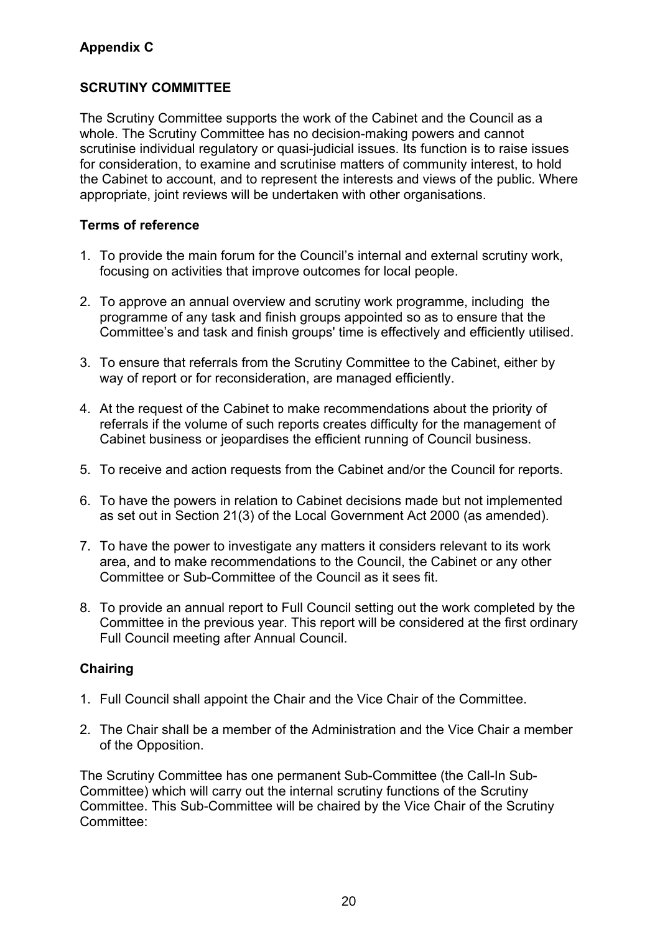## **Appendix C**

## **SCRUTINY COMMITTEE**

The Scrutiny Committee supports the work of the Cabinet and the Council as a whole. The Scrutiny Committee has no decision-making powers and cannot scrutinise individual regulatory or quasi-judicial issues. Its function is to raise issues for consideration, to examine and scrutinise matters of community interest, to hold the Cabinet to account, and to represent the interests and views of the public. Where appropriate, joint reviews will be undertaken with other organisations.

## **Terms of reference**

- 1. To provide the main forum for the Council's internal and external scrutiny work, focusing on activities that improve outcomes for local people.
- 2. To approve an annual overview and scrutiny work programme, including the programme of any task and finish groups appointed so as to ensure that the Committee's and task and finish groups' time is effectively and efficiently utilised.
- 3. To ensure that referrals from the Scrutiny Committee to the Cabinet, either by way of report or for reconsideration, are managed efficiently.
- 4. At the request of the Cabinet to make recommendations about the priority of referrals if the volume of such reports creates difficulty for the management of Cabinet business or jeopardises the efficient running of Council business.
- 5. To receive and action requests from the Cabinet and/or the Council for reports.
- 6. To have the powers in relation to Cabinet decisions made but not implemented as set out in Section 21(3) of the Local Government Act 2000 (as amended).
- 7. To have the power to investigate any matters it considers relevant to its work area, and to make recommendations to the Council, the Cabinet or any other Committee or Sub-Committee of the Council as it sees fit.
- 8. To provide an annual report to Full Council setting out the work completed by the Committee in the previous year. This report will be considered at the first ordinary Full Council meeting after Annual Council.

## **Chairing**

- 1. Full Council shall appoint the Chair and the Vice Chair of the Committee.
- 2. The Chair shall be a member of the Administration and the Vice Chair a member of the Opposition.

The Scrutiny Committee has one permanent Sub-Committee (the Call-In Sub-Committee) which will carry out the internal scrutiny functions of the Scrutiny Committee. This Sub-Committee will be chaired by the Vice Chair of the Scrutiny Committee: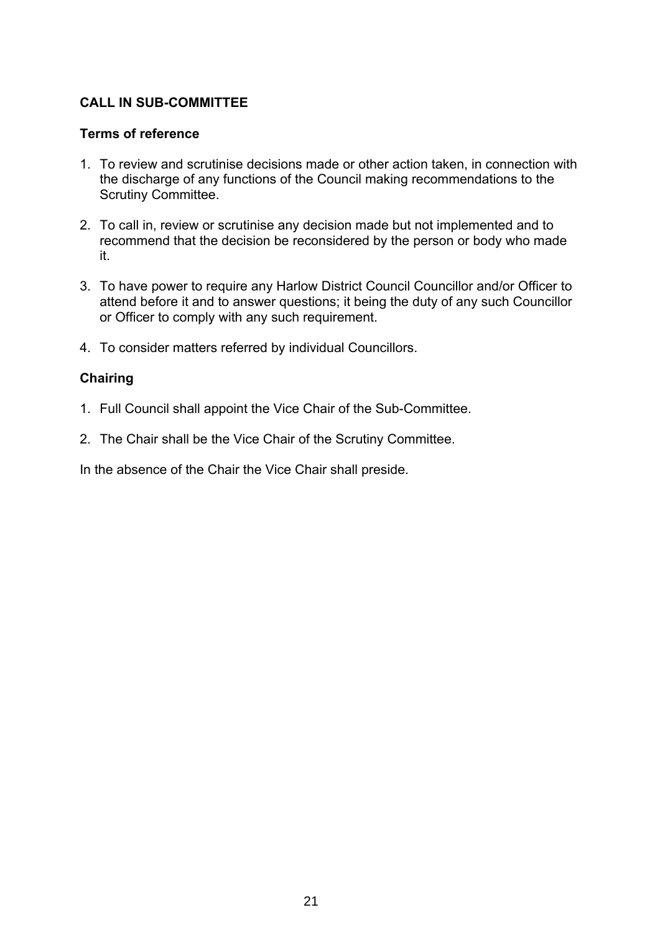## **CALL IN SUB-COMMITTEE**

#### **Terms of reference**

- 1. To review and scrutinise decisions made or other action taken, in connection with the discharge of any functions of the Council making recommendations to the Scrutiny Committee.
- 2. To call in, review or scrutinise any decision made but not implemented and to recommend that the decision be reconsidered by the person or body who made it.
- 3. To have power to require any Harlow District Council Councillor and/or Officer to attend before it and to answer questions; it being the duty of any such Councillor or Officer to comply with any such requirement.
- 4. To consider matters referred by individual Councillors.

## **Chairing**

- 1. Full Council shall appoint the Vice Chair of the Sub-Committee.
- 2. The Chair shall be the Vice Chair of the Scrutiny Committee.

In the absence of the Chair the Vice Chair shall preside.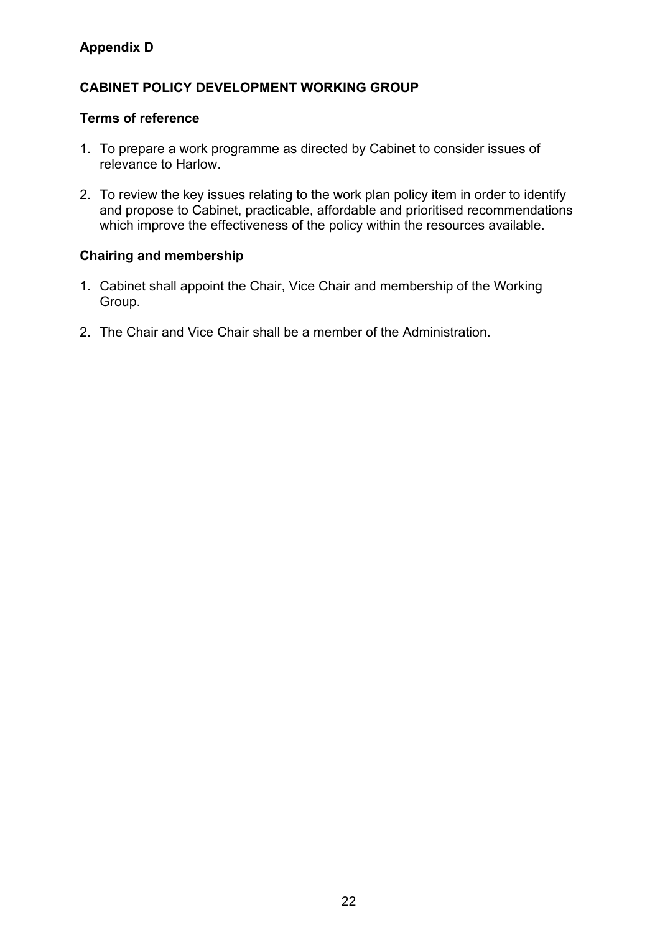## **Appendix D**

## **CABINET POLICY DEVELOPMENT WORKING GROUP**

## **Terms of reference**

- 1. To prepare a work programme as directed by Cabinet to consider issues of relevance to Harlow.
- 2. To review the key issues relating to the work plan policy item in order to identify and propose to Cabinet, practicable, affordable and prioritised recommendations which improve the effectiveness of the policy within the resources available.

## **Chairing and membership**

- 1. Cabinet shall appoint the Chair, Vice Chair and membership of the Working Group.
- 2. The Chair and Vice Chair shall be a member of the Administration.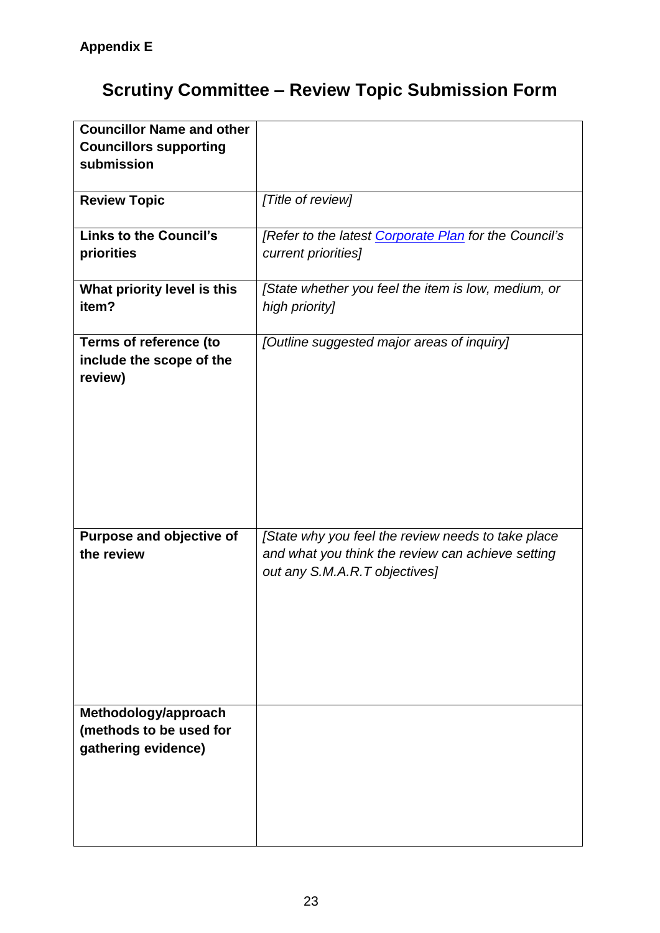# **Scrutiny Committee – Review Topic Submission Form**

| <b>Councillor Name and other</b> |                                                       |
|----------------------------------|-------------------------------------------------------|
| <b>Councillors supporting</b>    |                                                       |
| submission                       |                                                       |
|                                  |                                                       |
| <b>Review Topic</b>              | [Title of review]                                     |
|                                  |                                                       |
| <b>Links to the Council's</b>    | [Refer to the latest Corporate Plan for the Council's |
| priorities                       | current priorities]                                   |
|                                  |                                                       |
| What priority level is this      | [State whether you feel the item is low, medium, or   |
| item?                            | high priority]                                        |
|                                  |                                                       |
| Terms of reference (to           | [Outline suggested major areas of inquiry]            |
| include the scope of the         |                                                       |
|                                  |                                                       |
| review)                          |                                                       |
|                                  |                                                       |
|                                  |                                                       |
|                                  |                                                       |
|                                  |                                                       |
|                                  |                                                       |
|                                  |                                                       |
|                                  |                                                       |
|                                  |                                                       |
| Purpose and objective of         | [State why you feel the review needs to take place    |
| the review                       | and what you think the review can achieve setting     |
|                                  | out any S.M.A.R.T objectives]                         |
|                                  |                                                       |
|                                  |                                                       |
|                                  |                                                       |
|                                  |                                                       |
|                                  |                                                       |
|                                  |                                                       |
|                                  |                                                       |
| Methodology/approach             |                                                       |
| (methods to be used for          |                                                       |
| gathering evidence)              |                                                       |
|                                  |                                                       |
|                                  |                                                       |
|                                  |                                                       |
|                                  |                                                       |
|                                  |                                                       |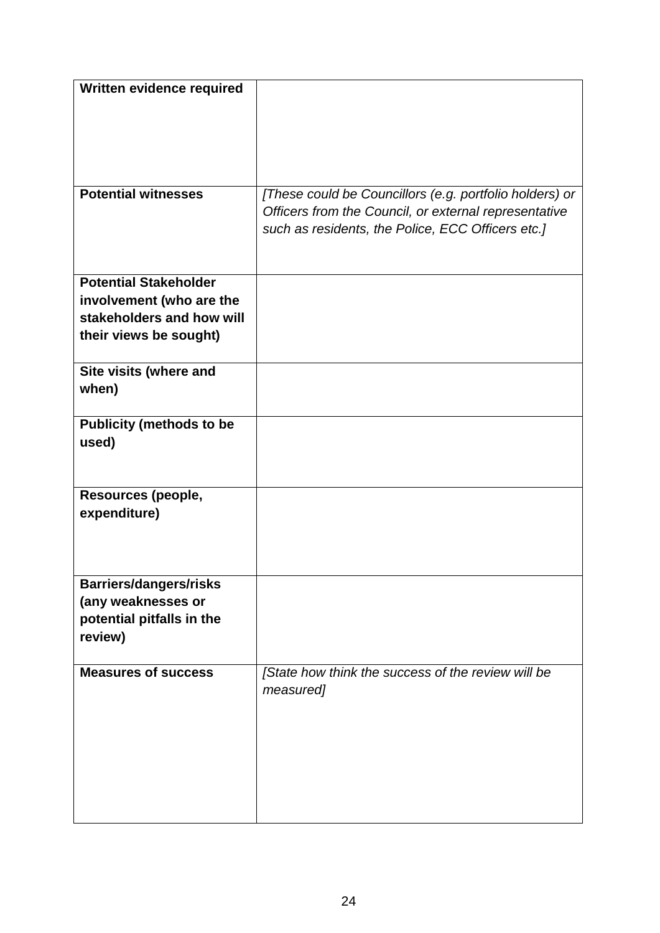| Written evidence required            |                                                         |
|--------------------------------------|---------------------------------------------------------|
|                                      |                                                         |
|                                      |                                                         |
|                                      |                                                         |
|                                      |                                                         |
|                                      |                                                         |
| <b>Potential witnesses</b>           | [These could be Councillors (e.g. portfolio holders) or |
|                                      | Officers from the Council, or external representative   |
|                                      | such as residents, the Police, ECC Officers etc.]       |
|                                      |                                                         |
| <b>Potential Stakeholder</b>         |                                                         |
| involvement (who are the             |                                                         |
| stakeholders and how will            |                                                         |
| their views be sought)               |                                                         |
|                                      |                                                         |
| Site visits (where and               |                                                         |
| when)                                |                                                         |
|                                      |                                                         |
| <b>Publicity (methods to be</b>      |                                                         |
| used)                                |                                                         |
|                                      |                                                         |
|                                      |                                                         |
| Resources (people,                   |                                                         |
| expenditure)                         |                                                         |
|                                      |                                                         |
|                                      |                                                         |
|                                      |                                                         |
| <b>Barriers/dangers/risks</b>        |                                                         |
| (any weaknesses or                   |                                                         |
| potential pitfalls in the<br>review) |                                                         |
|                                      |                                                         |
| <b>Measures of success</b>           | [State how think the success of the review will be      |
|                                      | measured]                                               |
|                                      |                                                         |
|                                      |                                                         |
|                                      |                                                         |
|                                      |                                                         |
|                                      |                                                         |
|                                      |                                                         |
|                                      |                                                         |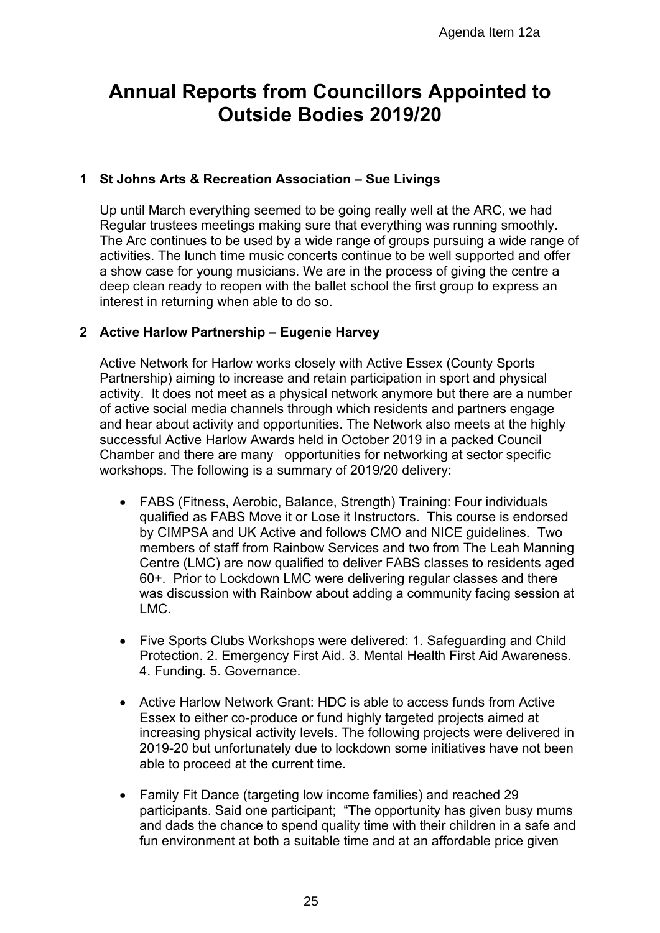## **Annual Reports from Councillors Appointed to Outside Bodies 2019/20**

## **1 St Johns Arts & Recreation Association – Sue Livings**

Up until March everything seemed to be going really well at the ARC, we had Regular trustees meetings making sure that everything was running smoothly. The Arc continues to be used by a wide range of groups pursuing a wide range of activities. The lunch time music concerts continue to be well supported and offer a show case for young musicians. We are in the process of giving the centre a deep clean ready to reopen with the ballet school the first group to express an interest in returning when able to do so.

## **2 Active Harlow Partnership – Eugenie Harvey**

Active Network for Harlow works closely with Active Essex (County Sports Partnership) aiming to increase and retain participation in sport and physical activity. It does not meet as a physical network anymore but there are a number of active social media channels through which residents and partners engage and hear about activity and opportunities. The Network also meets at the highly successful Active Harlow Awards held in October 2019 in a packed Council Chamber and there are many opportunities for networking at sector specific workshops. The following is a summary of 2019/20 delivery:

- FABS (Fitness, Aerobic, Balance, Strength) Training: Four individuals qualified as FABS Move it or Lose it Instructors. This course is endorsed by CIMPSA and UK Active and follows CMO and NICE guidelines. Two members of staff from Rainbow Services and two from The Leah Manning Centre (LMC) are now qualified to deliver FABS classes to residents aged 60+. Prior to Lockdown LMC were delivering regular classes and there was discussion with Rainbow about adding a community facing session at LMC. Agenda Item 12a<br> **Councillors Appointed t**<br> **Bodies 2019/20**<br>
pociation – Sue Livings<br>
to be going really well at the ARC, we have the<br>
sure that everything was numing smootler<br>
wide range of groups pursuing a wide reach<br>
- Five Sports Clubs Workshops were delivered: 1. Safeguarding and Child Protection. 2. Emergency First Aid. 3. Mental Health First Aid Awareness. 4. Funding. 5. Governance.
- Active Harlow Network Grant: HDC is able to access funds from Active Essex to either co-produce or fund highly targeted projects aimed at increasing physical activity levels. The following projects were delivered in 2019-20 but unfortunately due to lockdown some initiatives have not been able to proceed at the current time.
- Family Fit Dance (targeting low income families) and reached 29 participants. Said one participant; "The opportunity has given busy mums and dads the chance to spend quality time with their children in a safe and fun environment at both a suitable time and at an affordable price given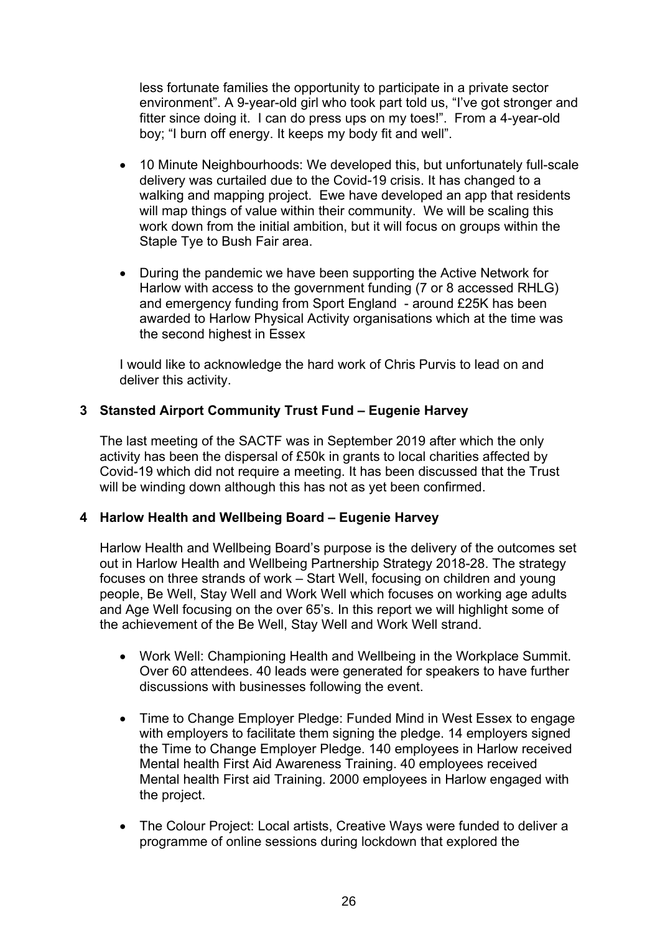less fortunate families the opportunity to participate in a private sector environment". A 9-year-old girl who took part told us, "I've got stronger and fitter since doing it. I can do press ups on my toes!". From a 4-year-old boy; "I burn off energy. It keeps my body fit and well".

- 10 Minute Neighbourhoods: We developed this, but unfortunately full-scale delivery was curtailed due to the Covid-19 crisis. It has changed to a walking and mapping project. Ewe have developed an app that residents will map things of value within their community. We will be scaling this work down from the initial ambition, but it will focus on groups within the Staple Tye to Bush Fair area.
- During the pandemic we have been supporting the Active Network for Harlow with access to the government funding (7 or 8 accessed RHLG) and emergency funding from Sport England - around £25K has been awarded to Harlow Physical Activity organisations which at the time was the second highest in Essex

I would like to acknowledge the hard work of Chris Purvis to lead on and deliver this activity.

## **3 Stansted Airport Community Trust Fund – Eugenie Harvey**

The last meeting of the SACTF was in September 2019 after which the only activity has been the dispersal of £50k in grants to local charities affected by Covid-19 which did not require a meeting. It has been discussed that the Trust will be winding down although this has not as yet been confirmed.

## **4 Harlow Health and Wellbeing Board – Eugenie Harvey**

Harlow Health and Wellbeing Board's purpose is the delivery of the outcomes set out in Harlow Health and Wellbeing Partnership Strategy 2018-28. The strategy focuses on three strands of work – Start Well, focusing on children and young people, Be Well, Stay Well and Work Well which focuses on working age adults and Age Well focusing on the over 65's. In this report we will highlight some of the achievement of the Be Well, Stay Well and Work Well strand.

- Work Well: Championing Health and Wellbeing in the Workplace Summit. Over 60 attendees. 40 leads were generated for speakers to have further discussions with businesses following the event.
- Time to Change Employer Pledge: Funded Mind in West Essex to engage with employers to facilitate them signing the pledge. 14 employers signed the Time to Change Employer Pledge. 140 employees in Harlow received Mental health First Aid Awareness Training. 40 employees received Mental health First aid Training. 2000 employees in Harlow engaged with the project.
- The Colour Project: Local artists, Creative Ways were funded to deliver a programme of online sessions during lockdown that explored the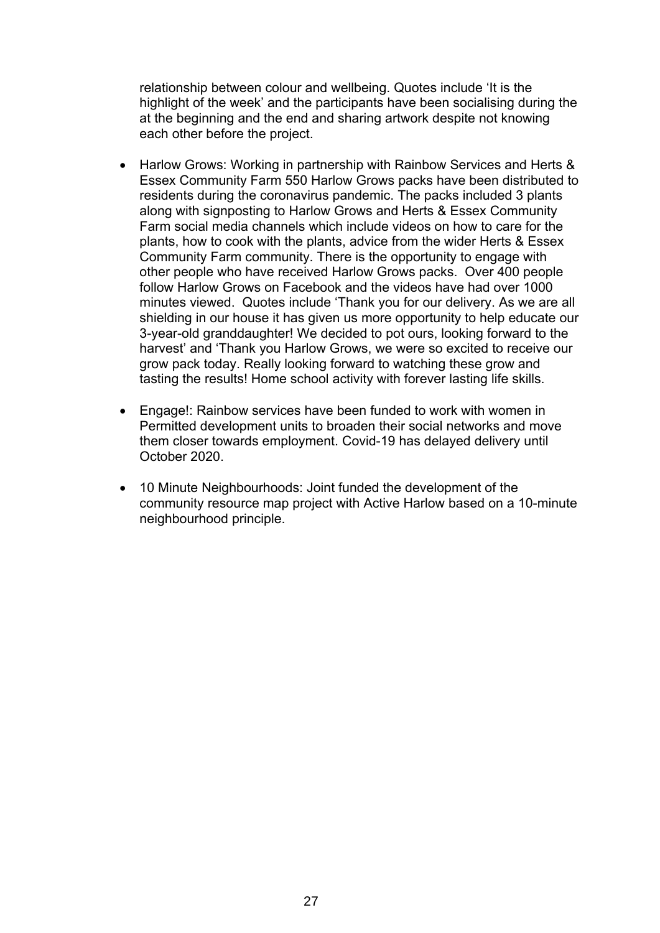relationship between colour and wellbeing. Quotes include 'It is the highlight of the week' and the participants have been socialising during the at the beginning and the end and sharing artwork despite not knowing each other before the project.

- Harlow Grows: Working in partnership with Rainbow Services and Herts & Essex Community Farm 550 Harlow Grows packs have been distributed to residents during the coronavirus pandemic. The packs included 3 plants along with signposting to Harlow Grows and Herts & Essex Community Farm social media channels which include videos on how to care for the plants, how to cook with the plants, advice from the wider Herts & Essex Community Farm community. There is the opportunity to engage with other people who have received Harlow Grows packs. Over 400 people follow Harlow Grows on Facebook and the videos have had over 1000 minutes viewed. Quotes include 'Thank you for our delivery. As we are all shielding in our house it has given us more opportunity to help educate our 3-year-old granddaughter! We decided to pot ours, looking forward to the harvest' and 'Thank you Harlow Grows, we were so excited to receive our grow pack today. Really looking forward to watching these grow and tasting the results! Home school activity with forever lasting life skills.
- Engage!: Rainbow services have been funded to work with women in Permitted development units to broaden their social networks and move them closer towards employment. Covid-19 has delayed delivery until October 2020.
- 10 Minute Neighbourhoods: Joint funded the development of the community resource map project with Active Harlow based on a 10-minute neighbourhood principle.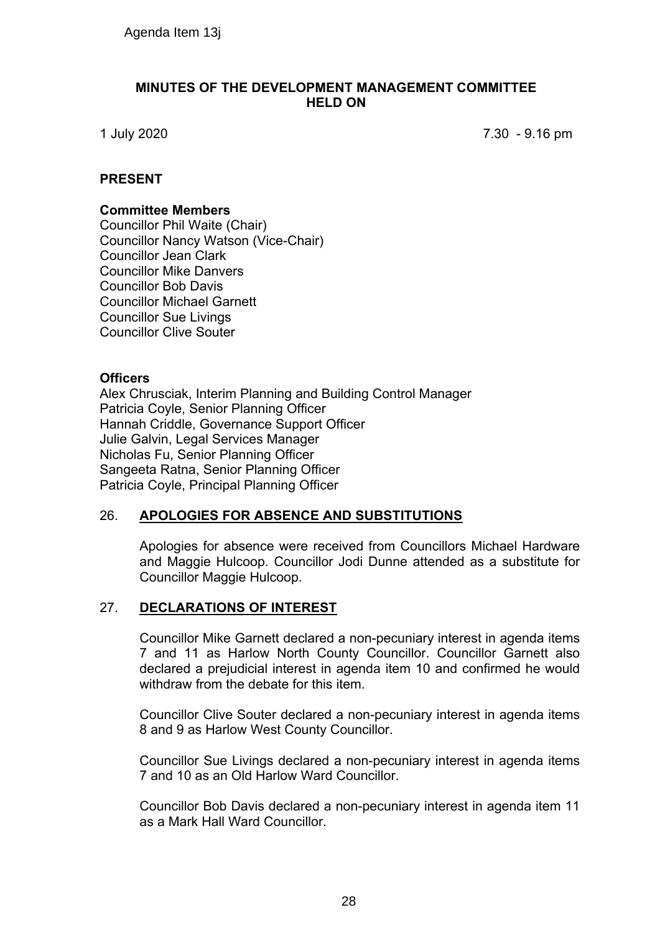#### **MINUTES OF THE DEVELOPMENT MANAGEMENT COMMITTEE HELD ON**

1 July 2020 7.30 - 9.16 pm

## **PRESENT**

#### **Committee Members**

Councillor Phil Waite (Chair) Councillor Nancy Watson (Vice-Chair) Councillor Jean Clark Councillor Mike Danvers Councillor Bob Davis Councillor Michael Garnett Councillor Sue Livings Councillor Clive Souter Agenda Item 13j<br>
MINUTES OF THE DEVELOPMENT<br>
IMINUTES OF THE DEVELOPMENT<br>
ITELD O<br>
1792020<br>
SENT<br>
TIMIT Wate (Chair)<br>
ncillor Nancy Watson (Vice-Chair)<br>
ncillor Marcy Watson (Vice-Chair)<br>
ncillor Marcy Watson (Vice-Chair)<br>

#### **Officers**

Alex Chrusciak, Interim Planning and Building Control Manager Patricia Coyle, Senior Planning Officer Hannah Criddle, Governance Support Officer Julie Galvin, Legal Services Manager Nicholas Fu, Senior Planning Officer Sangeeta Ratna, Senior Planning Officer Patricia Coyle, Principal Planning Officer

## 26. **APOLOGIES FOR ABSENCE AND SUBSTITUTIONS**

Apologies for absence were received from Councillors Michael Hardware and Maggie Hulcoop. Councillor Jodi Dunne attended as a substitute for Councillor Maggie Hulcoop.

## 27. **DECLARATIONS OF INTEREST**

Councillor Mike Garnett declared a non-pecuniary interest in agenda items 7 and 11 as Harlow North County Councillor. Councillor Garnett also declared a prejudicial interest in agenda item 10 and confirmed he would withdraw from the debate for this item.

Councillor Clive Souter declared a non-pecuniary interest in agenda items 8 and 9 as Harlow West County Councillor.

Councillor Sue Livings declared a non-pecuniary interest in agenda items 7 and 10 as an Old Harlow Ward Councillor.

Councillor Bob Davis declared a non-pecuniary interest in agenda item 11 as a Mark Hall Ward Councillor.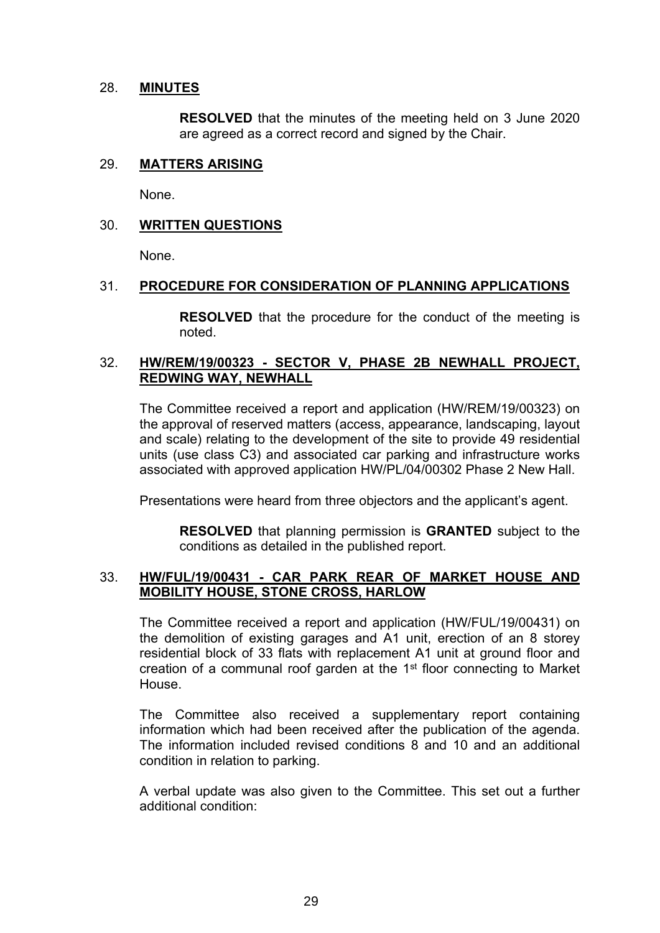#### 28. **MINUTES**

**RESOLVED** that the minutes of the meeting held on 3 June 2020 are agreed as a correct record and signed by the Chair.

## 29. **MATTERS ARISING**

None.

#### 30. **WRITTEN QUESTIONS**

None.

#### 31. **PROCEDURE FOR CONSIDERATION OF PLANNING APPLICATIONS**

**RESOLVED** that the procedure for the conduct of the meeting is noted.

#### 32. **HW/REM/19/00323 - SECTOR V, PHASE 2B NEWHALL PROJECT, REDWING WAY, NEWHALL**

The Committee received a report and application (HW/REM/19/00323) on the approval of reserved matters (access, appearance, landscaping, layout and scale) relating to the development of the site to provide 49 residential units (use class C3) and associated car parking and infrastructure works associated with approved application HW/PL/04/00302 Phase 2 New Hall.

Presentations were heard from three objectors and the applicant's agent.

**RESOLVED** that planning permission is **GRANTED** subject to the conditions as detailed in the published report.

#### 33. **HW/FUL/19/00431 - CAR PARK REAR OF MARKET HOUSE AND MOBILITY HOUSE, STONE CROSS, HARLOW**

The Committee received a report and application (HW/FUL/19/00431) on the demolition of existing garages and A1 unit, erection of an 8 storey residential block of 33 flats with replacement A1 unit at ground floor and creation of a communal roof garden at the 1<sup>st</sup> floor connecting to Market House.

The Committee also received a supplementary report containing information which had been received after the publication of the agenda. The information included revised conditions 8 and 10 and an additional condition in relation to parking.

A verbal update was also given to the Committee. This set out a further additional condition: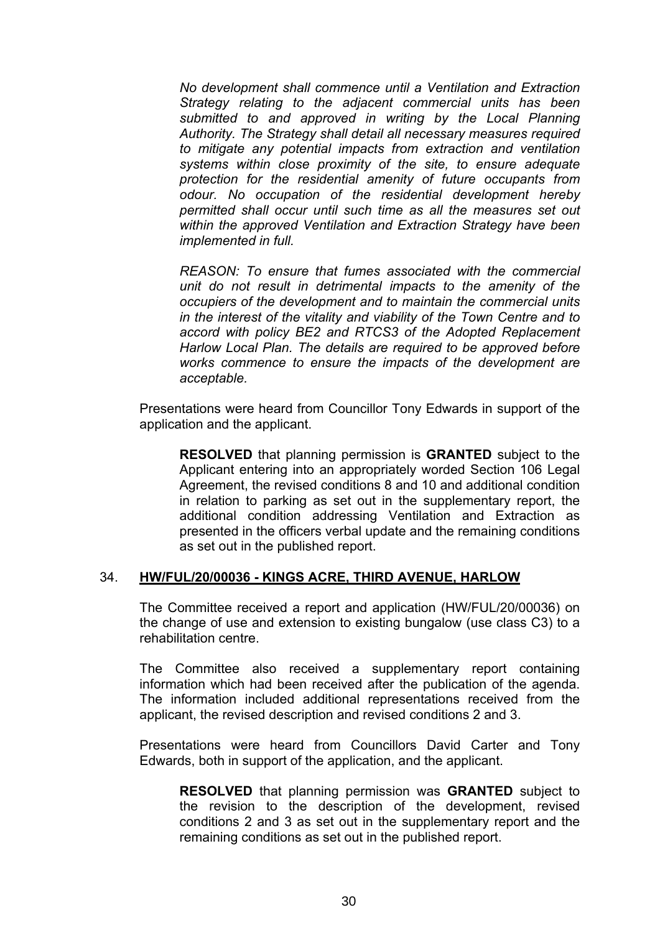*No development shall commence until a Ventilation and Extraction Strategy relating to the adjacent commercial units has been submitted to and approved in writing by the Local Planning Authority. The Strategy shall detail all necessary measures required to mitigate any potential impacts from extraction and ventilation systems within close proximity of the site, to ensure adequate protection for the residential amenity of future occupants from odour. No occupation of the residential development hereby permitted shall occur until such time as all the measures set out within the approved Ventilation and Extraction Strategy have been implemented in full.*

*REASON: To ensure that fumes associated with the commercial unit do not result in detrimental impacts to the amenity of the occupiers of the development and to maintain the commercial units in the interest of the vitality and viability of the Town Centre and to accord with policy BE2 and RTCS3 of the Adopted Replacement Harlow Local Plan. The details are required to be approved before works commence to ensure the impacts of the development are acceptable.*

Presentations were heard from Councillor Tony Edwards in support of the application and the applicant.

**RESOLVED** that planning permission is **GRANTED** subject to the Applicant entering into an appropriately worded Section 106 Legal Agreement, the revised conditions 8 and 10 and additional condition in relation to parking as set out in the supplementary report, the additional condition addressing Ventilation and Extraction as presented in the officers verbal update and the remaining conditions as set out in the published report.

## 34. **HW/FUL/20/00036 - KINGS ACRE, THIRD AVENUE, HARLOW**

The Committee received a report and application (HW/FUL/20/00036) on the change of use and extension to existing bungalow (use class C3) to a rehabilitation centre.

The Committee also received a supplementary report containing information which had been received after the publication of the agenda. The information included additional representations received from the applicant, the revised description and revised conditions 2 and 3.

Presentations were heard from Councillors David Carter and Tony Edwards, both in support of the application, and the applicant.

**RESOLVED** that planning permission was **GRANTED** subject to the revision to the description of the development, revised conditions 2 and 3 as set out in the supplementary report and the remaining conditions as set out in the published report.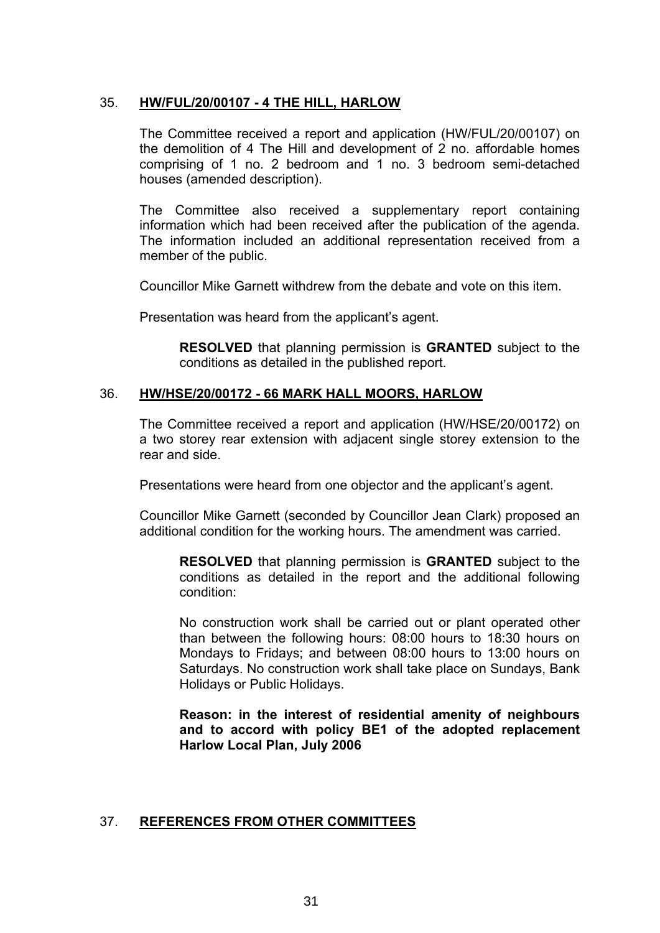## 35. **HW/FUL/20/00107 - 4 THE HILL, HARLOW**

The Committee received a report and application (HW/FUL/20/00107) on the demolition of 4 The Hill and development of 2 no. affordable homes comprising of 1 no. 2 bedroom and 1 no. 3 bedroom semi-detached houses (amended description).

The Committee also received a supplementary report containing information which had been received after the publication of the agenda. The information included an additional representation received from a member of the public.

Councillor Mike Garnett withdrew from the debate and vote on this item.

Presentation was heard from the applicant's agent.

**RESOLVED** that planning permission is **GRANTED** subject to the conditions as detailed in the published report.

#### 36. **HW/HSE/20/00172 - 66 MARK HALL MOORS, HARLOW**

The Committee received a report and application (HW/HSE/20/00172) on a two storey rear extension with adjacent single storey extension to the rear and side.

Presentations were heard from one objector and the applicant's agent.

Councillor Mike Garnett (seconded by Councillor Jean Clark) proposed an additional condition for the working hours. The amendment was carried.

**RESOLVED** that planning permission is **GRANTED** subject to the conditions as detailed in the report and the additional following condition:

No construction work shall be carried out or plant operated other than between the following hours: 08:00 hours to 18:30 hours on Mondays to Fridays; and between 08:00 hours to 13:00 hours on Saturdays. No construction work shall take place on Sundays, Bank Holidays or Public Holidays.

**Reason: in the interest of residential amenity of neighbours and to accord with policy BE1 of the adopted replacement Harlow Local Plan, July 2006**

#### 37. **REFERENCES FROM OTHER COMMITTEES**